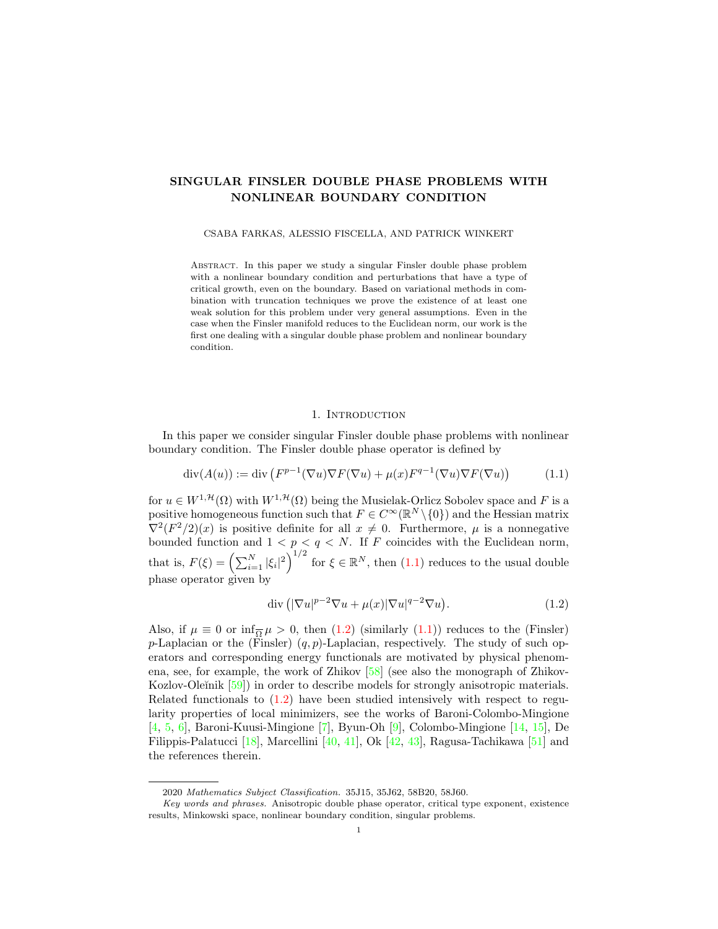# SINGULAR FINSLER DOUBLE PHASE PROBLEMS WITH NONLINEAR BOUNDARY CONDITION

#### CSABA FARKAS, ALESSIO FISCELLA, AND PATRICK WINKERT

Abstract. In this paper we study a singular Finsler double phase problem with a nonlinear boundary condition and perturbations that have a type of critical growth, even on the boundary. Based on variational methods in combination with truncation techniques we prove the existence of at least one weak solution for this problem under very general assumptions. Even in the case when the Finsler manifold reduces to the Euclidean norm, our work is the first one dealing with a singular double phase problem and nonlinear boundary condition.

### <span id="page-0-0"></span>1. INTRODUCTION

In this paper we consider singular Finsler double phase problems with nonlinear boundary condition. The Finsler double phase operator is defined by

$$
\operatorname{div}(A(u)) := \operatorname{div}\left(F^{p-1}(\nabla u)\nabla F(\nabla u) + \mu(x)F^{q-1}(\nabla u)\nabla F(\nabla u)\right) \tag{1.1}
$$

for  $u \in W^{1,\mathcal{H}}(\Omega)$  with  $W^{1,\mathcal{H}}(\Omega)$  being the Musielak-Orlicz Sobolev space and F is a positive homogeneous function such that  $F \in C^{\infty}(\mathbb{R}^N \setminus \{0\})$  and the Hessian matrix  $\nabla^2 (F^2/2)(x)$  is positive definite for all  $x \neq 0$ . Furthermore,  $\mu$  is a nonnegative bounded function and  $1 < p < q < N$ . If F coincides with the Euclidean norm, that is,  $F(\xi) = \left(\sum_{i=1}^N |\xi_i|^2\right)^{1/2}$  for  $\xi \in \mathbb{R}^N$ , then  $(1.1)$  reduces to the usual double phase operator given by

<span id="page-0-1"></span>
$$
\operatorname{div}\left(|\nabla u|^{p-2}\nabla u + \mu(x)|\nabla u|^{q-2}\nabla u\right). \tag{1.2}
$$

Also, if  $\mu \equiv 0$  or  $\inf_{\overline{\Omega}} \mu > 0$ , then  $(1.2)$  (similarly  $(1.1)$ ) reduces to the (Finsler) p-Laplacian or the (Finsler)  $(q, p)$ -Laplacian, respectively. The study of such operators and corresponding energy functionals are motivated by physical phenomena, see, for example, the work of Zhikov [\[58\]](#page-19-0) (see also the monograph of Zhikov-Kozlov-Oleĭnik [\[59\]](#page-19-1)) in order to describe models for strongly anisotropic materials. Related functionals to [\(1.2\)](#page-0-1) have been studied intensively with respect to regularity properties of local minimizers, see the works of Baroni-Colombo-Mingione [\[4,](#page-17-0) [5,](#page-17-1) [6\]](#page-17-2), Baroni-Kuusi-Mingione [\[7\]](#page-17-3), Byun-Oh [\[9\]](#page-17-4), Colombo-Mingione [\[14,](#page-17-5) [15\]](#page-17-6), De Filippis-Palatucci [\[18\]](#page-17-7), Marcellini [\[40,](#page-18-0) [41\]](#page-18-1), Ok [\[42,](#page-18-2) [43\]](#page-18-3), Ragusa-Tachikawa [\[51\]](#page-18-4) and the references therein.

<sup>2020</sup> Mathematics Subject Classification. 35J15, 35J62, 58B20, 58J60.

Key words and phrases. Anisotropic double phase operator, critical type exponent, existence results, Minkowski space, nonlinear boundary condition, singular problems.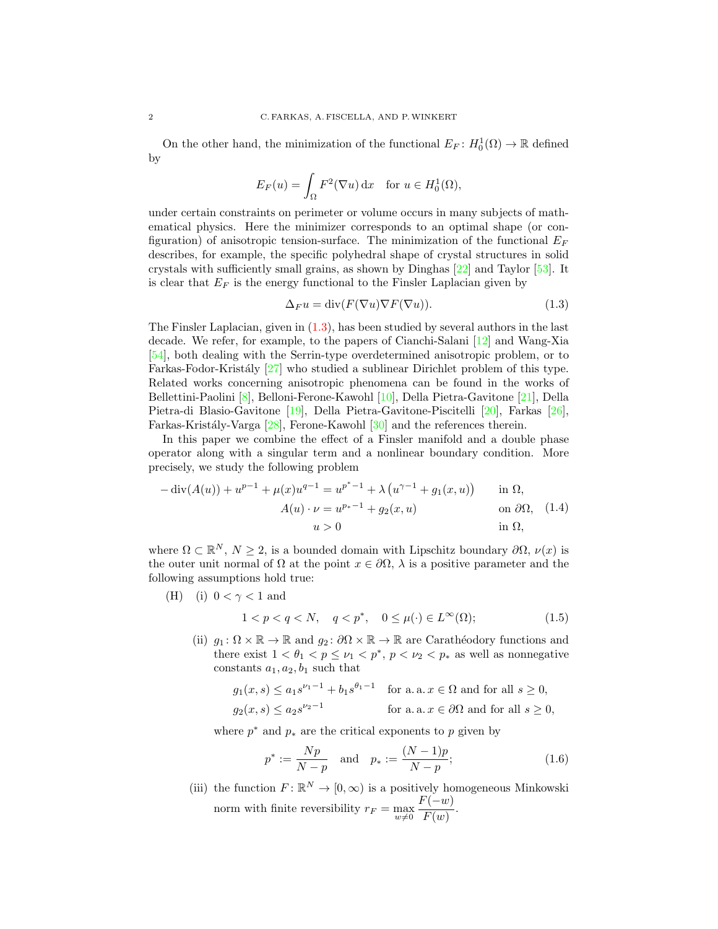On the other hand, the minimization of the functional  $E_F: H_0^1(\Omega) \to \mathbb{R}$  defined by

$$
E_F(u) = \int_{\Omega} F^2(\nabla u) \, \mathrm{d}x \quad \text{for } u \in H_0^1(\Omega),
$$

under certain constraints on perimeter or volume occurs in many subjects of mathematical physics. Here the minimizer corresponds to an optimal shape (or configuration) of anisotropic tension-surface. The minimization of the functional  $E_F$ describes, for example, the specific polyhedral shape of crystal structures in solid crystals with sufficiently small grains, as shown by Dinghas [\[22\]](#page-17-8) and Taylor [\[53\]](#page-18-5). It is clear that  $E_F$  is the energy functional to the Finsler Laplacian given by

<span id="page-1-0"></span>
$$
\Delta_F u = \text{div}(F(\nabla u)\nabla F(\nabla u)).\tag{1.3}
$$

The Finsler Laplacian, given in [\(1.3\)](#page-1-0), has been studied by several authors in the last decade. We refer, for example, to the papers of Cianchi-Salani [\[12\]](#page-17-9) and Wang-Xia [\[54\]](#page-18-6), both dealing with the Serrin-type overdetermined anisotropic problem, or to Farkas-Fodor-Kristály  $[27]$  who studied a sublinear Dirichlet problem of this type. Related works concerning anisotropic phenomena can be found in the works of Bellettini-Paolini [\[8\]](#page-17-11), Belloni-Ferone-Kawohl [\[10\]](#page-17-12), Della Pietra-Gavitone [\[21\]](#page-17-13), Della Pietra-di Blasio-Gavitone [\[19\]](#page-17-14), Della Pietra-Gavitone-Piscitelli [\[20\]](#page-17-15), Farkas [\[26\]](#page-17-16), Farkas-Kristály-Varga [\[28\]](#page-17-17), Ferone-Kawohl [\[30\]](#page-18-7) and the references therein.

In this paper we combine the effect of a Finsler manifold and a double phase operator along with a singular term and a nonlinear boundary condition. More precisely, we study the following problem

<span id="page-1-2"></span>
$$
- \operatorname{div}(A(u)) + u^{p-1} + \mu(x)u^{q-1} = u^{p^* - 1} + \lambda(u^{\gamma - 1} + g_1(x, u)) \quad \text{in } \Omega,
$$
  
\n
$$
A(u) \cdot \nu = u^{p_* - 1} + g_2(x, u) \quad \text{on } \partial\Omega, \quad (1.4)
$$
  
\n
$$
u > 0 \quad \text{in } \Omega,
$$

where  $\Omega \subset \mathbb{R}^N$ ,  $N \geq 2$ , is a bounded domain with Lipschitz boundary  $\partial \Omega$ ,  $\nu(x)$  is the outer unit normal of  $\Omega$  at the point  $x \in \partial\Omega$ ,  $\lambda$  is a positive parameter and the following assumptions hold true:

(H) (i)  $0 < \gamma < 1$  and

<span id="page-1-1"></span>
$$
1 < p < q < N, \quad q < p^*, \quad 0 \le \mu(\cdot) \in L^\infty(\Omega); \tag{1.5}
$$

(ii)  $g_1: \Omega \times \mathbb{R} \to \mathbb{R}$  and  $g_2: \partial \Omega \times \mathbb{R} \to \mathbb{R}$  are Carathéodory functions and there exist  $1 < \theta_1 < p \leq \nu_1 < p^*$ ,  $p < \nu_2 < p_*$  as well as nonnegative constants  $a_1, a_2, b_1$  such that

$$
g_1(x, s) \le a_1 s^{\nu_1 - 1} + b_1 s^{\theta_1 - 1}
$$
 for a. a.  $x \in \Omega$  and for all  $s \ge 0$ ,  
 $g_2(x, s) \le a_2 s^{\nu_2 - 1}$  for a. a.  $x \in \partial\Omega$  and for all  $s \ge 0$ ,

where  $p^*$  and  $p_*$  are the critical exponents to p given by

<span id="page-1-3"></span>
$$
p^* := \frac{Np}{N-p} \quad \text{and} \quad p_* := \frac{(N-1)p}{N-p};
$$
 (1.6)

(iii) the function  $F: \mathbb{R}^N \to [0, \infty)$  is a positively homogeneous Minkowski norm with finite reversibility  $r_F = \max_{w \neq 0}$  $F(-w)$  $\frac{(w)}{F(w)}$ .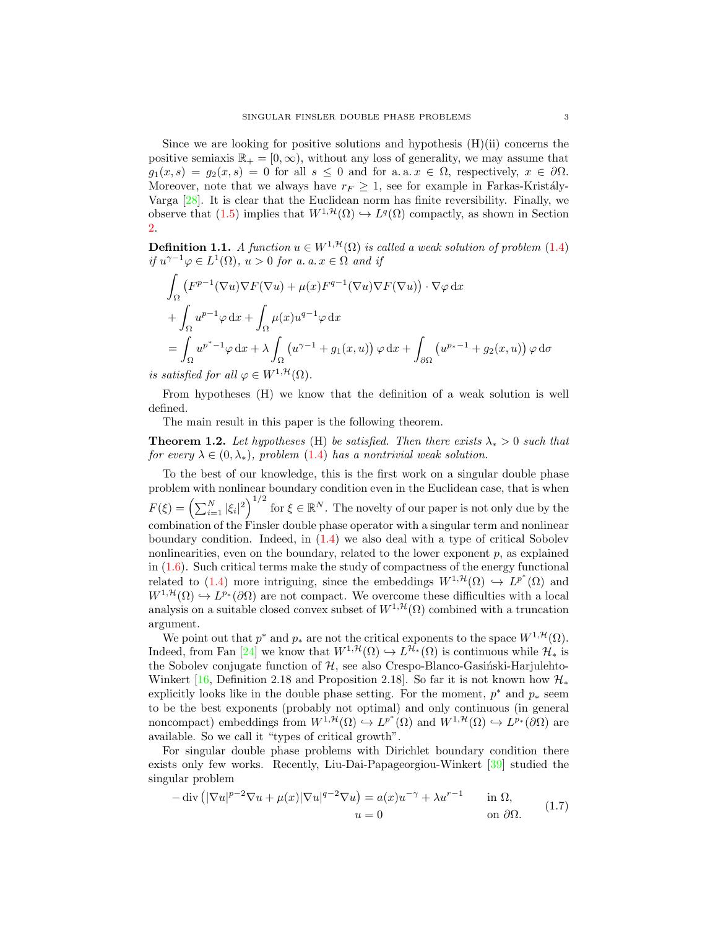Since we are looking for positive solutions and hypothesis  $(H)(ii)$  concerns the positive semiaxis  $\mathbb{R}_+ = [0, \infty)$ , without any loss of generality, we may assume that  $g_1(x, s) = g_2(x, s) = 0$  for all  $s \leq 0$  and for a.a.  $x \in \Omega$ , respectively,  $x \in \partial \Omega$ . Moreover, note that we always have  $r_F \geq 1$ , see for example in Farkas-Kristály-Varga [\[28\]](#page-17-17). It is clear that the Euclidean norm has finite reversibility. Finally, we observe that  $(1.5)$  implies that  $W^{1,\mathcal{H}}(\Omega) \hookrightarrow L^{q}(\Omega)$  compactly, as shown in Section [2.](#page-3-0)

<span id="page-2-2"></span>**Definition 1.1.** A function  $u \in W^{1, \mathcal{H}}(\Omega)$  is called a weak solution of problem [\(1.4\)](#page-1-2) if  $u^{\gamma-1}\varphi \in L^1(\Omega)$ ,  $u > 0$  for a. a.  $x \in \Omega$  and if

$$
\int_{\Omega} (F^{p-1}(\nabla u)\nabla F(\nabla u) + \mu(x)F^{q-1}(\nabla u)\nabla F(\nabla u)) \cdot \nabla \varphi \,dx
$$
\n
$$
+ \int_{\Omega} u^{p-1} \varphi \,dx + \int_{\Omega} \mu(x)u^{q-1} \varphi \,dx
$$
\n
$$
= \int_{\Omega} u^{p^* - 1} \varphi \,dx + \lambda \int_{\Omega} (u^{\gamma - 1} + g_1(x, u)) \varphi \,dx + \int_{\partial \Omega} (u^{p_* - 1} + g_2(x, u)) \varphi \,d\sigma
$$

is satisfied for all  $\varphi \in W^{1, \mathcal{H}}(\Omega)$ .

From hypotheses (H) we know that the definition of a weak solution is well defined.

The main result in this paper is the following theorem.

<span id="page-2-1"></span>**Theorem 1.2.** Let hypotheses (H) be satisfied. Then there exists  $\lambda_* > 0$  such that for every  $\lambda \in (0, \lambda_*)$ , problem [\(1.4\)](#page-1-2) has a nontrivial weak solution.

To the best of our knowledge, this is the first work on a singular double phase problem with nonlinear boundary condition even in the Euclidean case, that is when  $F(\xi) = \left(\sum_{i=1}^N |\xi_i|^2\right)^{1/2}$  for  $\xi \in \mathbb{R}^N$ . The novelty of our paper is not only due by the combination of the Finsler double phase operator with a singular term and nonlinear boundary condition. Indeed, in [\(1.4\)](#page-1-2) we also deal with a type of critical Sobolev nonlinearities, even on the boundary, related to the lower exponent  $p$ , as explained in [\(1.6\)](#page-1-3). Such critical terms make the study of compactness of the energy functional related to [\(1.4\)](#page-1-2) more intriguing, since the embeddings  $W^{1, \mathcal{H}}(\Omega) \hookrightarrow L^{p^*}(\Omega)$  and  $W^{1,\mathcal{H}}(\Omega) \hookrightarrow L^{p_*}(\partial\Omega)$  are not compact. We overcome these difficulties with a local analysis on a suitable closed convex subset of  $W^{1, \mathcal{H}}(\Omega)$  combined with a truncation argument.

We point out that  $p^*$  and  $p_*$  are not the critical exponents to the space  $W^{1,\mathcal{H}}(\Omega)$ . Indeed, from Fan [\[24\]](#page-17-18) we know that  $W^{1,\mathcal{H}}(\Omega) \hookrightarrow L^{\mathcal{H}_{*}}(\Omega)$  is continuous while  $\mathcal{H}_{*}$  is the Sobolev conjugate function of  $H$ , see also Crespo-Blanco-Gasinski-Harjulehto-Winkert [\[16,](#page-17-19) Definition 2.18 and Proposition 2.18]. So far it is not known how  $\mathcal{H}_*$ explicitly looks like in the double phase setting. For the moment,  $p^*$  and  $p_*$  seem to be the best exponents (probably not optimal) and only continuous (in general noncompact) embeddings from  $W^{1,\mathcal{H}}(\Omega) \hookrightarrow L^{p^*}(\Omega)$  and  $W^{1,\mathcal{H}}(\Omega) \hookrightarrow L^{p_*}(\partial\Omega)$  are available. So we call it "types of critical growth".

For singular double phase problems with Dirichlet boundary condition there exists only few works. Recently, Liu-Dai-Papageorgiou-Winkert [\[39\]](#page-18-8) studied the singular problem

<span id="page-2-0"></span>
$$
-\operatorname{div}\left(|\nabla u|^{p-2}\nabla u + \mu(x)|\nabla u|^{q-2}\nabla u\right) = a(x)u^{-\gamma} + \lambda u^{r-1} \quad \text{in } \Omega,
$$
  
\n
$$
u = 0 \quad \text{on } \partial\Omega.
$$
 (1.7)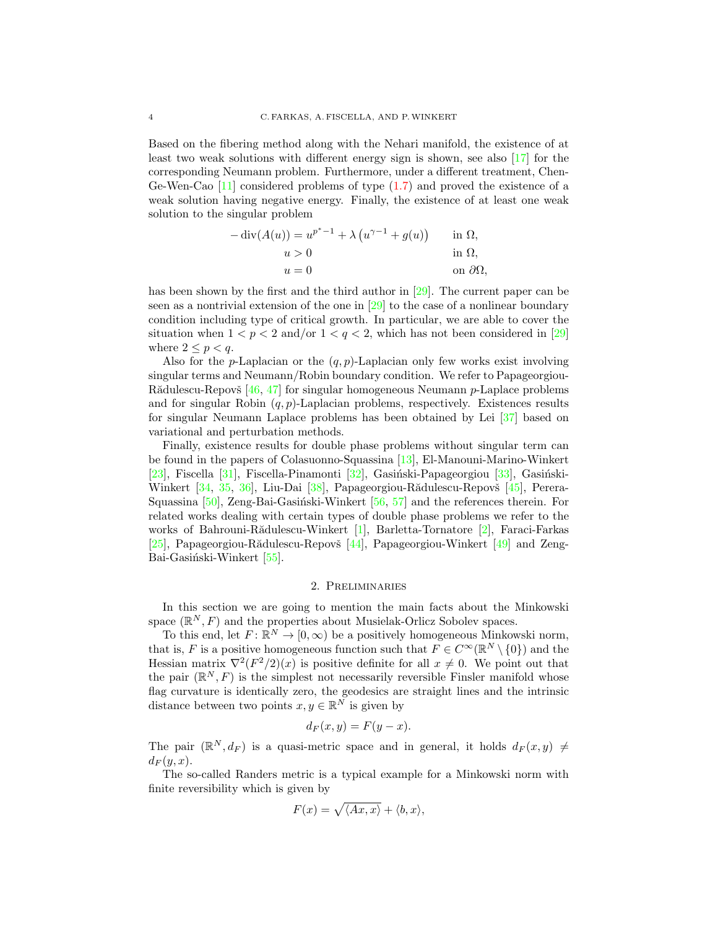Based on the fibering method along with the Nehari manifold, the existence of at least two weak solutions with different energy sign is shown, see also [\[17\]](#page-17-20) for the corresponding Neumann problem. Furthermore, under a different treatment, Chen-Ge-Wen-Cao [\[11\]](#page-17-21) considered problems of type [\(1.7\)](#page-2-0) and proved the existence of a weak solution having negative energy. Finally, the existence of at least one weak solution to the singular problem

$$
- \operatorname{div}(A(u)) = u^{p^* - 1} + \lambda (u^{\gamma - 1} + g(u)) \quad \text{in } \Omega,
$$
  
\n
$$
u > 0 \quad \text{in } \Omega,
$$
  
\n
$$
u = 0 \quad \text{on } \partial\Omega,
$$

has been shown by the first and the third author in [\[29\]](#page-18-9). The current paper can be seen as a nontrivial extension of the one in  $\left[\frac{29}{12}\right]$  to the case of a nonlinear boundary condition including type of critical growth. In particular, we are able to cover the situation when  $1 < p < 2$  and/or  $1 < q < 2$ , which has not been considered in [\[29\]](#page-18-9) where  $2 \leq p < q$ .

Also for the *p*-Laplacian or the  $(q, p)$ -Laplacian only few works exist involving singular terms and Neumann/Robin boundary condition. We refer to Papageorgiou-Rădulescu-Repovš  $[46, 47]$  $[46, 47]$  $[46, 47]$  for singular homogeneous Neumann p-Laplace problems and for singular Robin  $(q, p)$ -Laplacian problems, respectively. Existences results for singular Neumann Laplace problems has been obtained by Lei [\[37\]](#page-18-12) based on variational and perturbation methods.

Finally, existence results for double phase problems without singular term can be found in the papers of Colasuonno-Squassina [\[13\]](#page-17-22), El-Manouni-Marino-Winkert [\[23\]](#page-17-23), Fiscella [\[31\]](#page-18-13), Fiscella-Pinamonti [\[32\]](#page-18-14), Gasiński-Papageorgiou  $[33]$ , Gasiński-Winkert  $[34, 35, 36]$  $[34, 35, 36]$  $[34, 35, 36]$  $[34, 35, 36]$  $[34, 35, 36]$ , Liu-Dai  $[38]$ , Papageorgiou-Rădulescu-Repovš  $[45]$ , Perera-Squassina  $[50]$ , Zeng-Bai-Gasiński-Winkert  $[56, 57]$  $[56, 57]$  $[56, 57]$  and the references therein. For related works dealing with certain types of double phase problems we refer to the works of Bahrouni-Rădulescu-Winkert [\[1\]](#page-16-0), Barletta-Tornatore [\[2\]](#page-16-1), Faraci-Farkas [\[25\]](#page-17-24), Papageorgiou-Rădulescu-Repovš [\[44\]](#page-18-23), Papageorgiou-Winkert [\[49\]](#page-18-24) and Zeng-Bai-Gasiński-Winkert [\[55\]](#page-18-25).

## 2. Preliminaries

<span id="page-3-0"></span>In this section we are going to mention the main facts about the Minkowski space  $(\mathbb{R}^N, F)$  and the properties about Musielak-Orlicz Sobolev spaces.

To this end, let  $F: \mathbb{R}^N \to [0, \infty)$  be a positively homogeneous Minkowski norm, that is, F is a positive homogeneous function such that  $F \in C^{\infty}(\mathbb{R}^N \setminus \{0\})$  and the Hessian matrix  $\nabla^2 (F^2/2)(x)$  is positive definite for all  $x \neq 0$ . We point out that the pair  $(\mathbb{R}^N, F)$  is the simplest not necessarily reversible Finsler manifold whose flag curvature is identically zero, the geodesics are straight lines and the intrinsic distance between two points  $x, y \in \mathbb{R}^N$  is given by

$$
d_F(x, y) = F(y - x).
$$

The pair  $(\mathbb{R}^N, d_F)$  is a quasi-metric space and in general, it holds  $d_F(x, y) \neq 0$  $d_F(y, x)$ .

The so-called Randers metric is a typical example for a Minkowski norm with finite reversibility which is given by

$$
F(x) = \sqrt{\langle Ax, x \rangle} + \langle b, x \rangle,
$$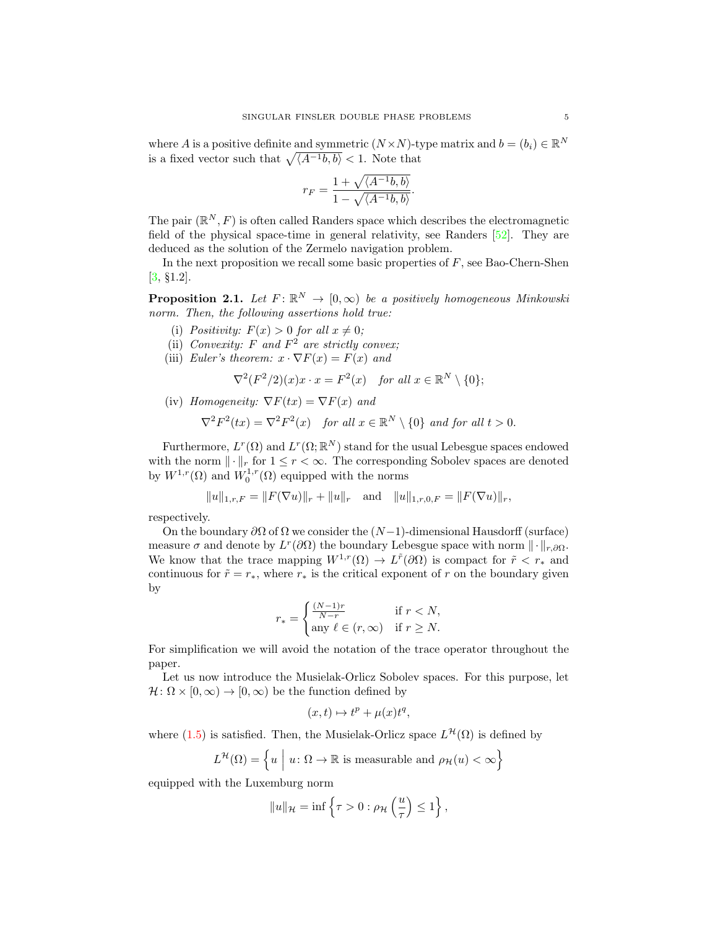where A is a positive definite and symmetric  $(N \times N)$ -type matrix and  $b = (b_i) \in \mathbb{R}^N$ is a fixed vector such that  $\sqrt{\langle A^{-1}b, b \rangle} < 1$ . Note that

$$
r_F = \frac{1 + \sqrt{\langle A^{-1}b, b \rangle}}{1 - \sqrt{\langle A^{-1}b, b \rangle}}.
$$

The pair  $(\mathbb{R}^N, F)$  is often called Randers space which describes the electromagnetic field of the physical space-time in general relativity, see Randers [\[52\]](#page-18-26). They are deduced as the solution of the Zermelo navigation problem.

In the next proposition we recall some basic properties of  $F$ , see Bao-Chern-Shen [\[3,](#page-17-25) §1.2].

<span id="page-4-0"></span>**Proposition 2.1.** Let  $F: \mathbb{R}^N \to [0, \infty)$  be a positively homogeneous Minkowski norm. Then, the following assertions hold true:

- (i) Positivity:  $F(x) > 0$  for all  $x \neq 0$ ;
- (ii) Convexity: F and  $F^2$  are strictly convex;
- (iii) Euler's theorem:  $x \cdot \nabla F(x) = F(x)$  and

$$
\nabla^2 (F^2/2)(x)x \cdot x = F^2(x) \quad \text{for all } x \in \mathbb{R}^N \setminus \{0\};
$$

(iv) Homogeneity:  $\nabla F(tx) = \nabla F(x)$  and

$$
\nabla^2 F^2(tx) = \nabla^2 F^2(x) \quad \text{for all } x \in \mathbb{R}^N \setminus \{0\} \text{ and for all } t > 0.
$$

Furthermore,  $L^r(\Omega)$  and  $L^r(\Omega;\mathbb{R}^N)$  stand for the usual Lebesgue spaces endowed with the norm  $\|\cdot\|_r$  for  $1 \leq r < \infty$ . The corresponding Sobolev spaces are denoted by  $W^{1,r}(\Omega)$  and  $W_0^{1,r}(\Omega)$  equipped with the norms

$$
||u||_{1,r,F} = ||F(\nabla u)||_r + ||u||_r
$$
 and  $||u||_{1,r,0,F} = ||F(\nabla u)||_r$ ,

respectively.

On the boundary  $\partial\Omega$  of  $\Omega$  we consider the  $(N-1)$ -dimensional Hausdorff (surface) measure  $\sigma$  and denote by  $L^r(\partial\Omega)$  the boundary Lebesgue space with norm  $\|\cdot\|_{r,\partial\Omega}$ . We know that the trace mapping  $W^{1,r}(\Omega) \to L^{\tilde{r}}(\partial \Omega)$  is compact for  $\tilde{r} < r_*$  and continuous for  $\tilde{r} = r_*$ , where  $r_*$  is the critical exponent of r on the boundary given by

$$
r_* = \begin{cases} \frac{(N-1)r}{N-r} & \text{if } r < N, \\ \text{any } \ell \in (r, \infty) & \text{if } r \ge N. \end{cases}
$$

For simplification we will avoid the notation of the trace operator throughout the paper.

Let us now introduce the Musielak-Orlicz Sobolev spaces. For this purpose, let  $\mathcal{H}: \Omega \times [0, \infty) \to [0, \infty)$  be the function defined by

$$
(x,t)\mapsto t^p+\mu(x)t^q,
$$

where  $(1.5)$  is satisfied. Then, the Musielak-Orlicz space  $L^{\mathcal{H}}(\Omega)$  is defined by

$$
L^{\mathcal{H}}(\Omega) = \left\{ u \mid u \colon \Omega \to \mathbb{R} \text{ is measurable and } \rho_{\mathcal{H}}(u) < \infty \right\}
$$

equipped with the Luxemburg norm

$$
||u||_{\mathcal{H}} = \inf \left\{ \tau > 0 : \rho_{\mathcal{H}}\left(\frac{u}{\tau}\right) \leq 1 \right\},\
$$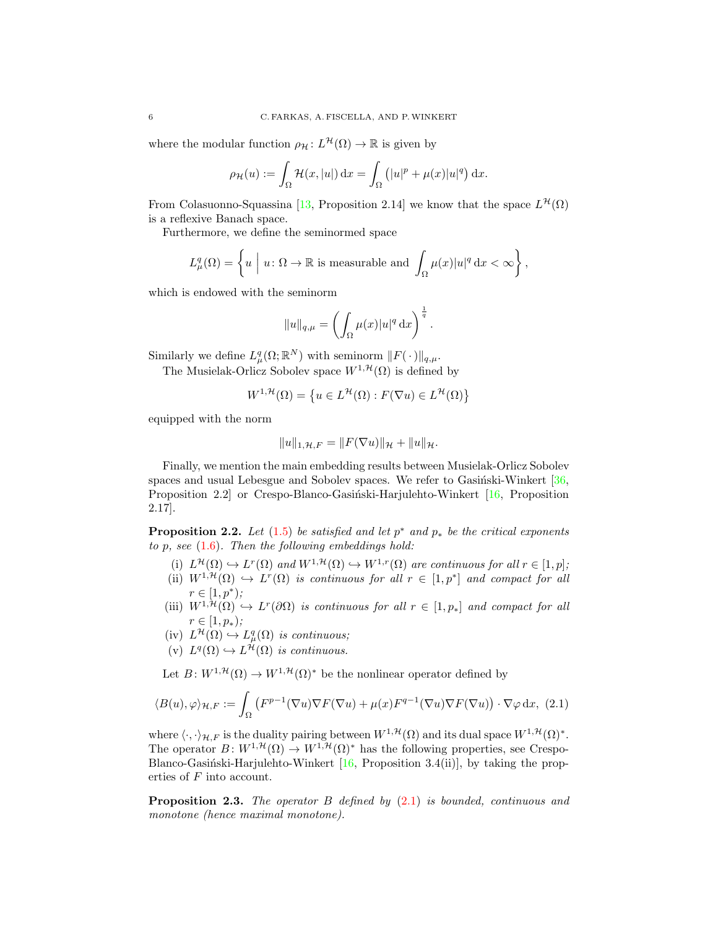where the modular function  $\rho_{\mathcal{H}}: L^{\mathcal{H}}(\Omega) \to \mathbb{R}$  is given by

$$
\rho_{\mathcal{H}}(u) := \int_{\Omega} \mathcal{H}(x, |u|) dx = \int_{\Omega} (|u|^p + \mu(x)|u|^q) dx.
$$

From Colasuonno-Squassina [\[13,](#page-17-22) Proposition 2.14] we know that the space  $L^{\mathcal{H}}(\Omega)$ is a reflexive Banach space.

Furthermore, we define the seminormed space

$$
L^q_\mu(\Omega) = \left\{ u \mid u \colon \Omega \to \mathbb{R} \text{ is measurable and } \int_{\Omega} \mu(x) |u|^q \, \mathrm{d}x < \infty \right\},
$$

which is endowed with the seminorm

$$
||u||_{q,\mu} = \left(\int_{\Omega} \mu(x)|u|^q dx\right)^{\frac{1}{q}}
$$

.

Similarly we define  $L^q_\mu(\Omega;\mathbb{R}^N)$  with seminorm  $||F(\cdot)||_{q,\mu}$ .

The Musielak-Orlicz Sobolev space  $W^{1, \mathcal{H}}(\Omega)$  is defined by

$$
W^{1,\mathcal{H}}(\Omega) = \left\{ u \in L^{\mathcal{H}}(\Omega) : F(\nabla u) \in L^{\mathcal{H}}(\Omega) \right\}
$$

equipped with the norm

<span id="page-5-0"></span>
$$
||u||_{1,\mathcal{H},F} = ||F(\nabla u)||_{\mathcal{H}} + ||u||_{\mathcal{H}}.
$$

Finally, we mention the main embedding results between Musielak-Orlicz Sobolev spaces and usual Lebesgue and Sobolev spaces. We refer to Gasintski-Winkert  $[36,$ Proposition 2.2 or Crespo-Blanco-Gasiński-Harjulehto-Winkert  $[16,$  Proposition 2.17].

<span id="page-5-1"></span>**Proposition 2.2.** Let  $(1.5)$  be satisfied and let  $p^*$  and  $p_*$  be the critical exponents to  $p$ , see  $(1.6)$ . Then the following embeddings hold:

- (i)  $L^{\mathcal{H}}(\Omega) \hookrightarrow L^{r}(\Omega)$  and  $W^{1,\mathcal{H}}(\Omega) \hookrightarrow W^{1,r}(\Omega)$  are continuous for all  $r \in [1,p]$ ;
- (ii)  $W^{1,\mathcal{H}}(\Omega) \hookrightarrow L^r(\Omega)$  is continuous for all  $r \in [1,p^*]$  and compact for all  $r \in [1, p^*);$
- (iii)  $W^{1,\mathcal{H}}(\Omega) \hookrightarrow L^r(\partial \Omega)$  is continuous for all  $r \in [1,p_*]$  and compact for all  $r \in [1, p_*)$ ;
- $(iv) L^{\mathcal{H}}(\Omega) \hookrightarrow L^q_{\mu}(\Omega)$  is continuous;
- (v)  $L^q(\Omega) \hookrightarrow L^{\mathcal{H}}(\Omega)$  is continuous.

Let  $B: W^{1, \mathcal{H}}(\Omega) \to W^{1, \mathcal{H}}(\Omega)^*$  be the nonlinear operator defined by

$$
\langle B(u), \varphi \rangle_{\mathcal{H}, F} := \int_{\Omega} \left( F^{p-1}(\nabla u) \nabla F(\nabla u) + \mu(x) F^{q-1}(\nabla u) \nabla F(\nabla u) \right) \cdot \nabla \varphi \, dx, \tag{2.1}
$$

where  $\langle \cdot, \cdot \rangle_{\mathcal{H},F}$  is the duality pairing between  $W^{1,\mathcal{H}}(\Omega)$  and its dual space  $W^{1,\mathcal{H}}(\Omega)^*$ . The operator  $B: W^{1, \mathcal{H}}(\Omega) \to W^{1, \mathcal{H}}(\Omega)^*$  has the following properties, see Crespo-Blanco-Gasiński-Harjulehto-Winkert [\[16,](#page-17-19) Proposition 3.4(ii)], by taking the properties of F into account.

**Proposition 2.3.** The operator B defined by  $(2.1)$  is bounded, continuous and monotone (hence maximal monotone).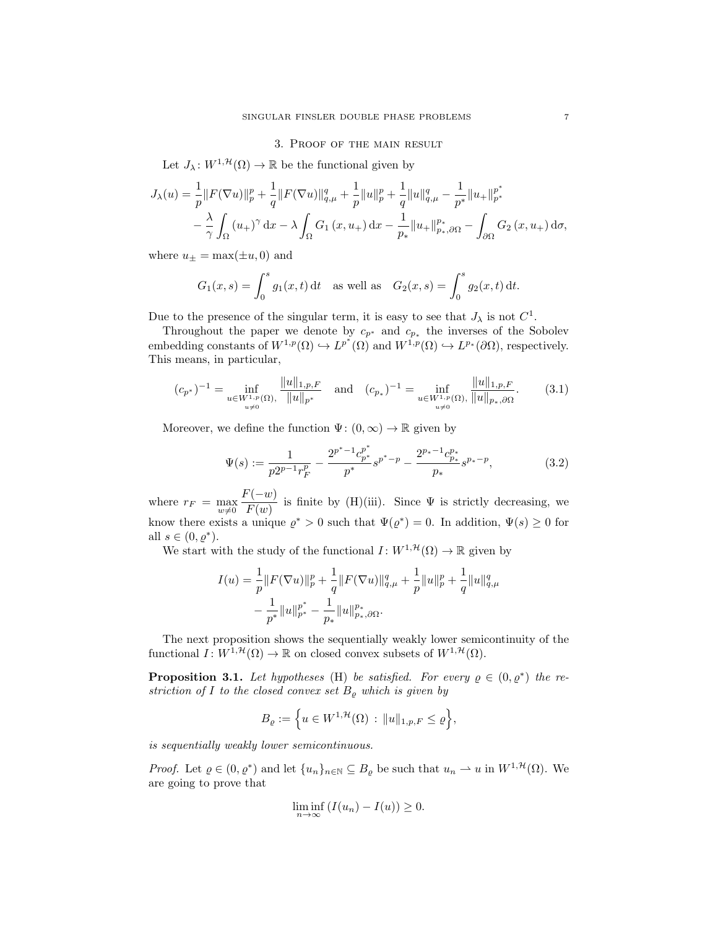## 3. Proof of the main result

Let  $J_{\lambda}: W^{1, \mathcal{H}}(\Omega) \to \mathbb{R}$  be the functional given by

$$
J_{\lambda}(u) = \frac{1}{p} ||F(\nabla u)||_{p}^{p} + \frac{1}{q} ||F(\nabla u)||_{q,\mu}^{q} + \frac{1}{p} ||u||_{p}^{p} + \frac{1}{q} ||u||_{q,\mu}^{q} - \frac{1}{p^{*}} ||u_{+}||_{p^{*}}^{p^{*}} -\frac{\lambda}{\gamma} \int_{\Omega} (u_{+})^{\gamma} dx - \lambda \int_{\Omega} G_{1}(x, u_{+}) dx - \frac{1}{p_{*}} ||u_{+}||_{p^{*},\partial\Omega}^{p^{*}} - \int_{\partial\Omega} G_{2}(x, u_{+}) d\sigma,
$$

where  $u_{\pm} = \max(\pm u, 0)$  and

$$
G_1(x, s) = \int_0^s g_1(x, t) dt
$$
 as well as  $G_2(x, s) = \int_0^s g_2(x, t) dt$ .

Due to the presence of the singular term, it is easy to see that  $J_{\lambda}$  is not  $C^{1}$ .

Throughout the paper we denote by  $c_{p^*}$  and  $c_{p_*}$  the inverses of the Sobolev embedding constants of  $W^{1,p}(\Omega) \hookrightarrow L^{p^*}(\Omega)$  and  $W^{1,p}(\Omega) \hookrightarrow L^{p_*}(\partial \Omega)$ , respectively. This means, in particular,

<span id="page-6-0"></span>
$$
(c_{p^*})^{-1} = \inf_{\substack{u \in W^{1,p}(\Omega), \\ u \neq 0}} \frac{\|u\|_{1,p,F}}{\|u\|_{p^*}} \quad \text{and} \quad (c_{p_*})^{-1} = \inf_{\substack{u \in W^{1,p}(\Omega), \\ u \neq 0}} \frac{\|u\|_{1,p,F}}{\|u\|_{p_*,\partial\Omega}}.\tag{3.1}
$$

Moreover, we define the function  $\Psi: (0, \infty) \to \mathbb{R}$  given by

<span id="page-6-1"></span>
$$
\Psi(s) := \frac{1}{p2^{p-1}r_F^p} - \frac{2^{p^*-1}c_{p^*}^{p^*}}{p^*}s^{p^*-p} - \frac{2^{p_*-1}c_{p^*}^{p^*}}{p_*}s^{p_*-p},\tag{3.2}
$$

where  $r_F = \max_{w \neq 0}$  $F(-w)$  $\frac{\langle \alpha v \rangle}{F(w)}$  is finite by (H)(iii). Since  $\Psi$  is strictly decreasing, we know there exists a unique  $\varrho^* > 0$  such that  $\Psi(\varrho^*) = 0$ . In addition,  $\Psi(s) \geq 0$  for all  $s \in (0, \varrho^*).$ 

We start with the study of the functional  $I: W^{1, \mathcal{H}}(\Omega) \to \mathbb{R}$  given by

$$
I(u) = \frac{1}{p} ||F(\nabla u)||_p^p + \frac{1}{q} ||F(\nabla u)||_{q,\mu}^q + \frac{1}{p} ||u||_p^p + \frac{1}{q} ||u||_{q,\mu}^q
$$
  

$$
- \frac{1}{p^*} ||u||_{p^*}^{p^*} - \frac{1}{p_*} ||u||_{p_*,\partial\Omega}^{p_*}.
$$

The next proposition shows the sequentially weakly lower semicontinuity of the functional  $I: W^{\hat{1},\mathcal{H}}(\Omega) \to \mathbb{R}$  on closed convex subsets of  $W^{1,\mathcal{H}}(\Omega)$ .

<span id="page-6-2"></span>**Proposition 3.1.** Let hypotheses (H) be satisfied. For every  $\rho \in (0, \rho^*)$  the restriction of I to the closed convex set  $B_{\rho}$  which is given by

$$
B_{\varrho}:=\Big\{u\in W^{1, \mathcal{H}}(\Omega)\,:\, \|u\|_{1, p, F}\leq \varrho\Big\},
$$

is sequentially weakly lower semicontinuous.

*Proof.* Let  $\varrho \in (0, \varrho^*)$  and let  $\{u_n\}_{n \in \mathbb{N}} \subseteq B_{\varrho}$  be such that  $u_n \rightharpoonup u$  in  $W^{1, \mathcal{H}}(\Omega)$ . We are going to prove that

$$
\liminf_{n \to \infty} (I(u_n) - I(u)) \ge 0.
$$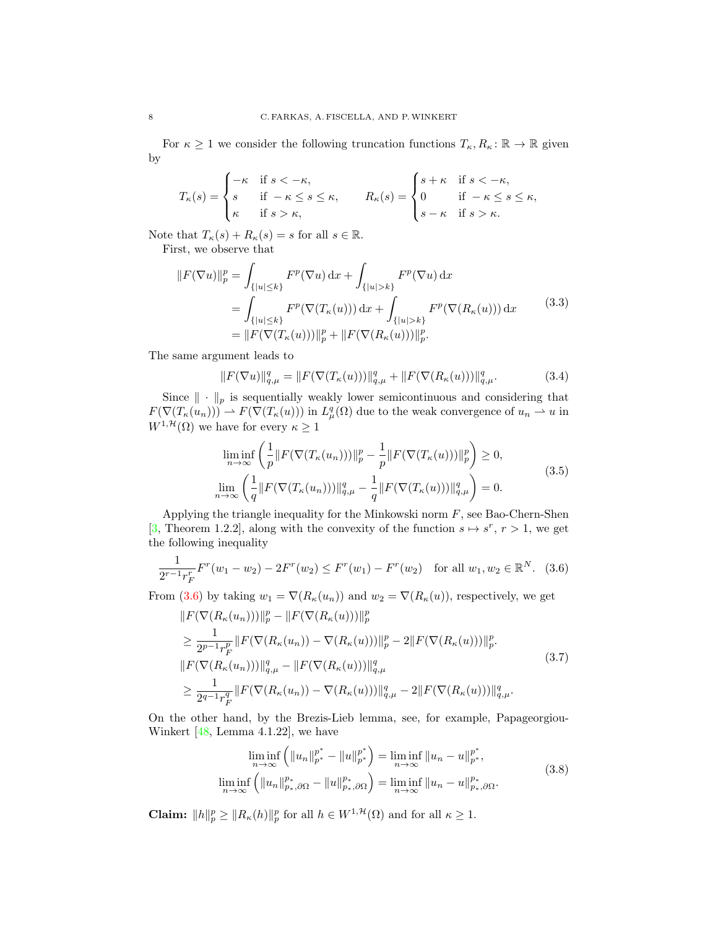For  $\kappa \geq 1$  we consider the following truncation functions  $T_{\kappa}, R_{\kappa}: \mathbb{R} \to \mathbb{R}$  given by

$$
T_{\kappa}(s) = \begin{cases} -\kappa & \text{if } s < -\kappa, \\ s & \text{if } -\kappa \le s \le \kappa, \\ \kappa & \text{if } s > \kappa, \end{cases} \qquad R_{\kappa}(s) = \begin{cases} s + \kappa & \text{if } s < -\kappa, \\ 0 & \text{if } -\kappa \le s \le \kappa, \\ s - \kappa & \text{if } s > \kappa. \end{cases}
$$

Note that  $T_{\kappa}(s) + R_{\kappa}(s) = s$  for all  $s \in \mathbb{R}$ . First, we observe that

$$
||F(\nabla u)||_p^p = \int_{\{|u| \le k\}} F^p(\nabla u) \, dx + \int_{\{|u| > k\}} F^p(\nabla u) \, dx
$$
  
= 
$$
\int_{\{|u| \le k\}} F^p(\nabla(T_\kappa(u))) \, dx + \int_{\{|u| > k\}} F^p(\nabla(R_\kappa(u))) \, dx \qquad (3.3)
$$
  
= 
$$
||F(\nabla(T_\kappa(u)))||_p^p + ||F(\nabla(R_\kappa(u)))||_p^p.
$$

The same argument leads to

<span id="page-7-2"></span><span id="page-7-1"></span>
$$
||F(\nabla u)||_{q,\mu}^{q} = ||F(\nabla(T_{\kappa}(u)))||_{q,\mu}^{q} + ||F(\nabla(R_{\kappa}(u)))||_{q,\mu}^{q}.
$$
\n(3.4)

Since  $\|\cdot\|_p$  is sequentially weakly lower semicontinuous and considering that  $F(\nabla (T_{\kappa}(u_n))) \to F(\nabla (T_{\kappa}(u)))$  in  $L^q_{\mu}(\Omega)$  due to the weak convergence of  $u_n \to u$  in  $W^{1, \mathcal{H}}(\Omega)$  we have for every  $\kappa \geq 1$ 

<span id="page-7-3"></span>
$$
\liminf_{n \to \infty} \left( \frac{1}{p} \| F(\nabla (T_{\kappa}(u_n))) \|_p^p - \frac{1}{p} \| F(\nabla (T_{\kappa}(u))) \|_p^p \right) \ge 0,
$$
\n
$$
\lim_{n \to \infty} \left( \frac{1}{q} \| F(\nabla (T_{\kappa}(u_n))) \|_{q,\mu}^q - \frac{1}{q} \| F(\nabla (T_{\kappa}(u))) \|_{q,\mu}^q \right) = 0.
$$
\n(3.5)

Applying the triangle inequality for the Minkowski norm  $F$ , see Bao-Chern-Shen [\[3,](#page-17-25) Theorem 1.2.2], along with the convexity of the function  $s \mapsto s^r$ ,  $r > 1$ , we get the following inequality

<span id="page-7-0"></span>
$$
\frac{1}{2^{r-1}r_F^r}F^r(w_1-w_2)-2F^r(w_2) \leq F^r(w_1)-F^r(w_2) \quad \text{for all } w_1, w_2 \in \mathbb{R}^N. \tag{3.6}
$$

From [\(3.6\)](#page-7-0) by taking  $w_1 = \nabla(R_\kappa(u_n))$  and  $w_2 = \nabla(R_\kappa(u))$ , respectively, we get

$$
||F(\nabla(R_{\kappa}(u_n)))||_p^p - ||F(\nabla(R_{\kappa}(u)))||_p^p
$$
  
\n
$$
\geq \frac{1}{2^{p-1}r_F^p} ||F(\nabla(R_{\kappa}(u_n)) - \nabla(R_{\kappa}(u)))||_p^p - 2||F(\nabla(R_{\kappa}(u)))||_p^p.
$$
  
\n
$$
||F(\nabla(R_{\kappa}(u_n)))||_{q,\mu}^q - ||F(\nabla(R_{\kappa}(u)))||_{q,\mu}^q
$$
  
\n
$$
\geq \frac{1}{2^{q-1}r_F^q} ||F(\nabla(R_{\kappa}(u_n)) - \nabla(R_{\kappa}(u)))||_{q,\mu}^q - 2||F(\nabla(R_{\kappa}(u)))||_{q,\mu}^q.
$$
\n(3.7)

On the other hand, by the Brezis-Lieb lemma, see, for example, Papageorgiou-Winkert [\[48,](#page-18-27) Lemma 4.1.22], we have

<span id="page-7-5"></span><span id="page-7-4"></span>
$$
\liminf_{n \to \infty} \left( \|u_n\|_{p^*}^{p^*} - \|u\|_{p^*}^{p^*} \right) = \liminf_{n \to \infty} \|u_n - u\|_{p^*}^{p^*},
$$
\n
$$
\liminf_{n \to \infty} \left( \|u_n\|_{p_*,\partial\Omega}^{p_*} - \|u\|_{p_*,\partial\Omega}^{p_*} \right) = \liminf_{n \to \infty} \|u_n - u\|_{p_*,\partial\Omega}^{p_*}.
$$
\n(3.8)

**Claim:**  $||h||_p^p \ge ||R_{\kappa}(h)||_p^p$  for all  $h \in W^{1, \mathcal{H}}(\Omega)$  and for all  $\kappa \ge 1$ .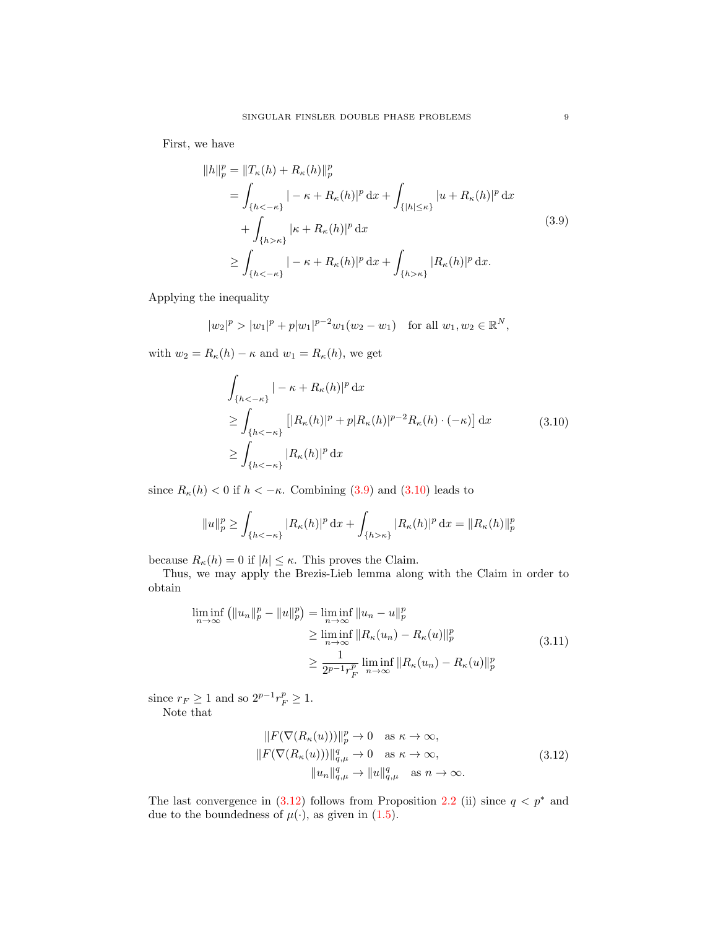First, we have

<span id="page-8-0"></span>
$$
||h||_p^p = ||T_{\kappa}(h) + R_{\kappa}(h)||_p^p
$$
  
\n
$$
= \int_{\{h < -\kappa\}} |-\kappa + R_{\kappa}(h)|^p dx + \int_{\{|h| \le \kappa\}} |u + R_{\kappa}(h)|^p dx
$$
  
\n
$$
+ \int_{\{h > \kappa\}} |\kappa + R_{\kappa}(h)|^p dx
$$
  
\n
$$
\ge \int_{\{h < -\kappa\}} |-\kappa + R_{\kappa}(h)|^p dx + \int_{\{h > \kappa\}} |R_{\kappa}(h)|^p dx.
$$
\n(3.9)

Applying the inequality

$$
|w_2|^p > |w_1|^p + p|w_1|^{p-2}w_1(w_2 - w_1)
$$
 for all  $w_1, w_2 \in \mathbb{R}^N$ ,

with  $w_2 = R_{\kappa}(h) - \kappa$  and  $w_1 = R_{\kappa}(h)$ , we get

<span id="page-8-1"></span>
$$
\int_{\{h<- \kappa\}} |-\kappa + R_{\kappa}(h)|^p dx
$$
\n
$$
\geq \int_{\{h<- \kappa\}} \left[ |R_{\kappa}(h)|^p + p |R_{\kappa}(h)|^{p-2} R_{\kappa}(h) \cdot (-\kappa) \right] dx \qquad (3.10)
$$
\n
$$
\geq \int_{\{h<- \kappa\}} |R_{\kappa}(h)|^p dx
$$

since  $R_{\kappa}(h) < 0$  if  $h < -\kappa$ . Combining [\(3.9\)](#page-8-0) and [\(3.10\)](#page-8-1) leads to

$$
||u||_p^p \ge \int_{\{h < -\kappa\}} |R_{\kappa}(h)|^p \,dx + \int_{\{h > \kappa\}} |R_{\kappa}(h)|^p \,dx = ||R_{\kappa}(h)||_p^p
$$

because  $R_{\kappa}(h) = 0$  if  $|h| \leq \kappa$ . This proves the Claim.

Thus, we may apply the Brezis-Lieb lemma along with the Claim in order to obtain

$$
\liminf_{n \to \infty} (||u_n||_p^p - ||u||_p^p) = \liminf_{n \to \infty} ||u_n - u||_p^p
$$
  
\n
$$
\geq \liminf_{n \to \infty} ||R_\kappa(u_n) - R_\kappa(u)||_p^p
$$
  
\n
$$
\geq \frac{1}{2^{p-1}r_F^p} \liminf_{n \to \infty} ||R_\kappa(u_n) - R_\kappa(u)||_p^p
$$
\n(3.11)

since  $r_F \geq 1$  and so  $2^{p-1}r_F^p \geq 1$ . Note that

<span id="page-8-3"></span><span id="page-8-2"></span>
$$
||F(\nabla(R_{\kappa}(u)))||_{p}^{p} \to 0 \quad \text{as } \kappa \to \infty,
$$
  

$$
||F(\nabla(R_{\kappa}(u)))||_{q,\mu}^{q} \to 0 \quad \text{as } \kappa \to \infty,
$$
  

$$
||u_{n}||_{q,\mu}^{q} \to ||u||_{q,\mu}^{q} \quad \text{as } n \to \infty.
$$
 (3.12)

The last convergence in  $(3.12)$  follows from Proposition [2.2](#page-5-1) (ii) since  $q < p^*$  and due to the boundedness of  $\mu(\cdot)$ , as given in [\(1.5\)](#page-1-1).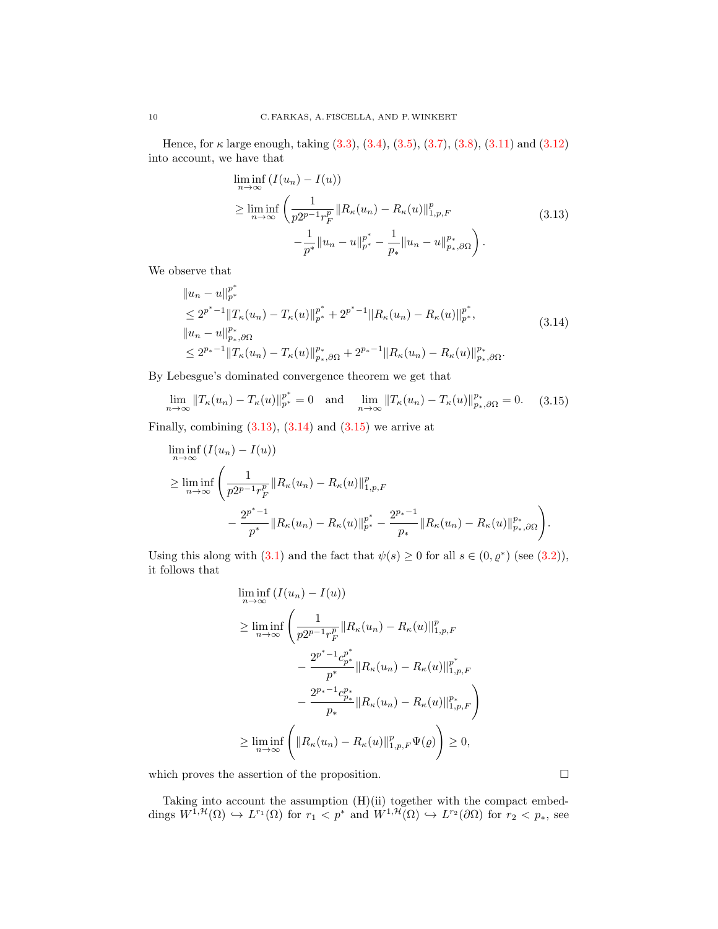Hence, for  $\kappa$  large enough, taking  $(3.3)$ ,  $(3.4)$ ,  $(3.5)$ ,  $(3.7)$ ,  $(3.8)$ ,  $(3.11)$  and  $(3.12)$ into account, we have that

<span id="page-9-1"></span><span id="page-9-0"></span>
$$
\liminf_{n \to \infty} (I(u_n) - I(u))
$$
\n
$$
\geq \liminf_{n \to \infty} \left( \frac{1}{p2^{p-1}r_F^p} \|R_{\kappa}(u_n) - R_{\kappa}(u)\|_{1, p, F}^p - \frac{1}{p^*} \|u_n - u\|_{p^*}^{p^*} - \frac{1}{p_*} \|u_n - u\|_{p_*,\partial\Omega}^{p_*} \right).
$$
\n(3.13)

We observe that

$$
\|u_n - u\|_{p^*}^{p^*}
$$
  
\n
$$
\leq 2^{p^*-1} \|T_{\kappa}(u_n) - T_{\kappa}(u)\|_{p^*}^{p^*} + 2^{p^*-1} \|R_{\kappa}(u_n) - R_{\kappa}(u)\|_{p^*}^{p^*},
$$
  
\n
$$
\|u_n - u\|_{p_*,\partial\Omega}^{p_*}
$$
  
\n
$$
\leq 2^{p_*-1} \|T_{\kappa}(u_n) - T_{\kappa}(u)\|_{p_*,\partial\Omega}^{p_*} + 2^{p_*-1} \|R_{\kappa}(u_n) - R_{\kappa}(u)\|_{p_*,\partial\Omega}^{p_*}.
$$
\n(3.14)

By Lebesgue's dominated convergence theorem we get that

$$
\lim_{n \to \infty} \|T_{\kappa}(u_n) - T_{\kappa}(u)\|_{p^*}^{p^*} = 0 \text{ and } \lim_{n \to \infty} \|T_{\kappa}(u_n) - T_{\kappa}(u)\|_{p^*,\partial\Omega}^{p_*} = 0. \quad (3.15)
$$

Finally, combining  $(3.13)$ ,  $(3.14)$  and  $(3.15)$  we arrive at

$$
\liminf_{n \to \infty} (I(u_n) - I(u))
$$
\n
$$
\geq \liminf_{n \to \infty} \left( \frac{1}{p2^{p-1}r_F^p} \|R_{\kappa}(u_n) - R_{\kappa}(u)\|_{1,p,F}^p - \frac{2^{p^*-1}}{p^*} \|R_{\kappa}(u_n) - R_{\kappa}(u)\|_{p^*}^{p^*} - \frac{2^{p^*-1}}{p_*} \|R_{\kappa}(u_n) - R_{\kappa}(u)\|_{p^*,\partial\Omega}^{p^*} \right).
$$

Using this along with [\(3.1\)](#page-6-0) and the fact that  $\psi(s) \geq 0$  for all  $s \in (0, \varrho^*)$  (see [\(3.2\)](#page-6-1)), it follows that

<span id="page-9-2"></span>
$$
\liminf_{n \to \infty} (I(u_n) - I(u))
$$
\n
$$
\geq \liminf_{n \to \infty} \left( \frac{1}{p2^{p-1}r_F^p} \|R_{\kappa}(u_n) - R_{\kappa}(u)\|_{1,p,F}^p - \frac{2^{p^* - 1}c_{p^*}^{p^*}}{p^*} \|R_{\kappa}(u_n) - R_{\kappa}(u)\|_{1,p,F}^{p^*} - \frac{2^{p_* - 1}c_{p_*}^{p_*}}{p_*} \|R_{\kappa}(u_n) - R_{\kappa}(u)\|_{1,p,F}^{p_*} \right)
$$
\n
$$
\geq \liminf_{n \to \infty} \left( \|R_{\kappa}(u_n) - R_{\kappa}(u)\|_{1,p,F}^p \Psi(\varrho) \right) \geq 0,
$$

which proves the assertion of the proposition.  $\Box$ 

Taking into account the assumption (H)(ii) together with the compact embeddings  $W^{1,\mathcal{H}}(\Omega) \hookrightarrow L^{r_1}(\Omega)$  for  $r_1 < p^*$  and  $W^{1,\mathcal{H}}(\Omega) \hookrightarrow L^{r_2}(\partial \Omega)$  for  $r_2 < p_*,$  see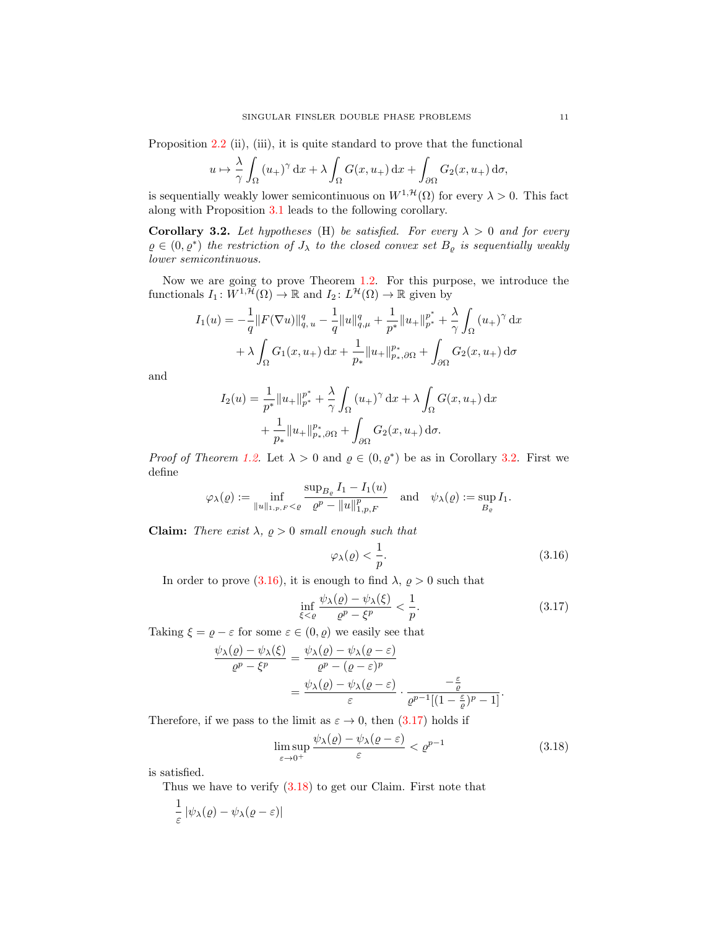Proposition [2.2](#page-5-1) (ii), (iii), it is quite standard to prove that the functional

$$
u \mapsto \frac{\lambda}{\gamma} \int_{\Omega} (u_+)^{\gamma} dx + \lambda \int_{\Omega} G(x, u_+) dx + \int_{\partial \Omega} G_2(x, u_+) d\sigma,
$$

is sequentially weakly lower semicontinuous on  $W^{1, \mathcal{H}}(\Omega)$  for every  $\lambda > 0$ . This fact along with Proposition [3.1](#page-6-2) leads to the following corollary.

<span id="page-10-0"></span>Corollary 3.2. Let hypotheses (H) be satisfied. For every  $\lambda > 0$  and for every  $\rho \in (0, \rho^*)$  the restriction of  $J_{\lambda}$  to the closed convex set  $B_{\rho}$  is sequentially weakly lower semicontinuous.

Now we are going to prove Theorem [1.2.](#page-2-1) For this purpose, we introduce the functionals  $I_1: W^{1,\mathcal{H}}(\Omega) \to \mathbb{R}$  and  $I_2: L^{\mathcal{H}}(\Omega) \to \mathbb{R}$  given by

$$
I_1(u) = -\frac{1}{q} ||F(\nabla u)||_{q,u}^q - \frac{1}{q} ||u||_{q,\mu}^q + \frac{1}{p^*} ||u_+||_{p^*}^{p^*} + \frac{\lambda}{\gamma} \int_{\Omega} (u_+)^{\gamma} dx
$$
  
+  $\lambda \int_{\Omega} G_1(x, u_+) dx + \frac{1}{p_*} ||u_+||_{p_*,\partial\Omega}^{p_*} + \int_{\partial\Omega} G_2(x, u_+) d\sigma$ 

and

$$
I_2(u) = \frac{1}{p^*} ||u_+||_{p^*}^{p^*} + \frac{\lambda}{\gamma} \int_{\Omega} (u_+)^{\gamma} dx + \lambda \int_{\Omega} G(x, u_+) dx + \frac{1}{p^*} ||u_+||_{p^*, \partial\Omega}^{p^*} + \int_{\partial\Omega} G_2(x, u_+) d\sigma.
$$

*Proof of Theorem [1.2.](#page-2-1)* Let  $\lambda > 0$  and  $\rho \in (0, \rho^*)$  be as in Corollary [3.2.](#page-10-0) First we define

$$
\varphi_{\lambda}(\varrho) := \inf_{\|u\|_{1,p,F} < \varrho} \frac{\sup_{B_{\varrho}} I_1 - I_1(u)}{\varrho^p - \|u\|_{1,p,F}^p} \quad \text{and} \quad \psi_{\lambda}(\varrho) := \sup_{B_{\varrho}} I_1.
$$

**Claim:** There exist  $\lambda$ ,  $\rho > 0$  small enough such that

<span id="page-10-1"></span>
$$
\varphi_{\lambda}(\varrho) < \frac{1}{p}.\tag{3.16}
$$

In order to prove [\(3.16\)](#page-10-1), it is enough to find  $\lambda$ ,  $\rho > 0$  such that

<span id="page-10-2"></span>
$$
\inf_{\xi < \varrho} \frac{\psi_{\lambda}(\varrho) - \psi_{\lambda}(\xi)}{\varrho^p - \xi^p} < \frac{1}{p}.\tag{3.17}
$$

Taking  $\xi = \varrho - \varepsilon$  for some  $\varepsilon \in (0, \varrho)$  we easily see that

$$
\frac{\psi_{\lambda}(\varrho) - \psi_{\lambda}(\xi)}{\varrho^{p} - \xi^{p}} = \frac{\psi_{\lambda}(\varrho) - \psi_{\lambda}(\varrho - \varepsilon)}{\varrho^{p} - (\varrho - \varepsilon)^{p}} = \frac{\psi_{\lambda}(\varrho) - \psi_{\lambda}(\varrho - \varepsilon)}{\varepsilon} \cdot \frac{-\frac{\varepsilon}{\varrho}}{\varrho^{p-1}[(1 - \frac{\varepsilon}{\varrho})^{p} - 1]}.
$$

Therefore, if we pass to the limit as  $\varepsilon \to 0$ , then [\(3.17\)](#page-10-2) holds if

<span id="page-10-3"></span>
$$
\limsup_{\varepsilon \to 0^+} \frac{\psi_\lambda(\varrho) - \psi_\lambda(\varrho - \varepsilon)}{\varepsilon} < \varrho^{p-1} \tag{3.18}
$$

is satisfied.

Thus we have to verify  $(3.18)$  to get our Claim. First note that

$$
\frac{1}{\varepsilon} |\psi_{\lambda}(\varrho) - \psi_{\lambda}(\varrho - \varepsilon)|
$$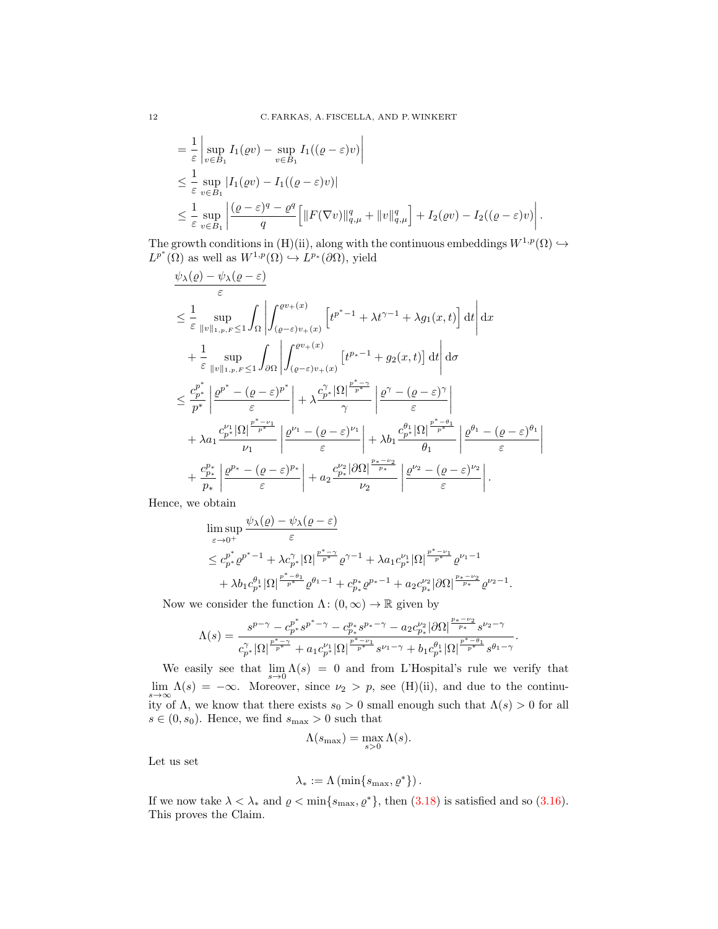$$
\begin{split}\n&= \frac{1}{\varepsilon} \left| \sup_{v \in B_1} I_1(\varrho v) - \sup_{v \in B_1} I_1((\varrho - \varepsilon)v) \right| \\
&\leq \frac{1}{\varepsilon} \sup_{v \in B_1} |I_1(\varrho v) - I_1((\varrho - \varepsilon)v)| \\
&\leq \frac{1}{\varepsilon} \sup_{v \in B_1} \left| \frac{(\varrho - \varepsilon)^q - \varrho^q}{q} \left[ ||F(\nabla v)||_{q,\mu}^q + ||v||_{q,\mu}^q \right] + I_2(\varrho v) - I_2((\varrho - \varepsilon)v) \right|. \n\end{split}
$$

The growth conditions in (H)(ii), along with the continuous embeddings  $W^{1,p}(\Omega) \hookrightarrow$  $L^{p^*}(\Omega)$  as well as  $W^{1,p}(\Omega) \hookrightarrow L^{p_*}(\partial\Omega)$ , yield

$$
\frac{\psi_{\lambda}(\varrho) - \psi_{\lambda}(\varrho - \varepsilon)}{\varepsilon}
$$
\n
$$
\leq \frac{1}{\varepsilon} \sup_{\|v\|_{1,p,F} \leq 1} \int_{\Omega} \left| \int_{(\varrho - \varepsilon)v_{+}(x)}^{\varrho v_{+}(x)} \left[ t^{p^{*}-1} + \lambda t^{\gamma-1} + \lambda g_{1}(x,t) \right] dt \right| dx
$$
\n
$$
+ \frac{1}{\varepsilon} \sup_{\|v\|_{1,p,F} \leq 1} \int_{\partial\Omega} \left| \int_{(\varrho - \varepsilon)v_{+}(x)}^{\varrho v_{+}(x)} \left[ t^{p_{*}-1} + g_{2}(x,t) \right] dt \right| d\sigma
$$
\n
$$
\leq \frac{c_{p^{*}}^{p^{*}}}{p^{*}} \left| \frac{\varrho^{p^{*}} - (\varrho - \varepsilon)^{p^{*}}}{\varepsilon} \right| + \lambda \frac{c_{p^{*}}^{\gamma} |\Omega|^{\frac{p^{*}-\gamma}{p^{*}}} }{\gamma} \left| \frac{\varrho^{\gamma} - (\varrho - \varepsilon)^{\gamma}}{\varepsilon} \right|
$$
\n
$$
+ \lambda a_{1} \frac{c_{p^{*}}^{\nu_{1}} |\Omega|^{\frac{p^{*}-\nu_{1}}{p^{*}}} }{\nu_{1}} \left| \frac{\varrho^{\nu_{1}} - (\varrho - \varepsilon)^{\nu_{1}}}{\varepsilon} \right| + \lambda b_{1} \frac{c_{p^{*}}^{\theta_{1}} |\Omega|^{\frac{p^{*}-\theta_{1}}{p^{*}}} }{\theta_{1}} \left| \frac{\varrho^{\theta_{1}} - (\varrho - \varepsilon)^{\theta_{1}}}{\varepsilon} \right|
$$
\n
$$
+ \frac{c_{p^{*}}^{\rho^{*}}}{p_{*}} \left| \frac{\varrho^{p_{*}} - (\varrho - \varepsilon)^{p_{*}}}{\varepsilon} \right| + a_{2} \frac{c_{p^{*}}^{\nu_{2}} |\partial\Omega|^{\frac{p^{*}-\nu_{2}}{p^{*}}} }{\nu_{2}} \left| \frac{\varrho^{\nu_{2}} - (\varrho - \varepsilon)^{\nu_{2}}}{\varepsilon} \right|.
$$

Hence, we obtain

$$
\begin{split} & \limsup_{\varepsilon \to 0^+} \frac{\psi_\lambda(\varrho) - \psi_\lambda(\varrho - \varepsilon)}{\varepsilon} \\ & \leq c_{p^*}^{p^*} \varrho^{p^*-1} + \lambda c_{p^*}^{\gamma} |\Omega|^{\frac{p^*- \gamma}{p^*}} \varrho^{\gamma-1} + \lambda a_1 c_{p^*}^{ \nu_1} |\Omega|^{\frac{p^*- \nu_1}{p^*}} \varrho^{\nu_1 - 1} \\ & + \lambda b_1 c_{p^*}^{\theta_1} |\Omega|^{\frac{p^*- \theta_1}{p^*}} \varrho^{\theta_1 - 1} + c_{p^*}^{p^*} \varrho^{p_* - 1} + a_2 c_{p^*}^{ \nu_2} |\partial \Omega|^{\frac{p_* - \nu_2}{p^*}} \varrho^{\nu_2 - 1}. \end{split}
$$

Now we consider the function  $\Lambda: (0, \infty) \to \mathbb{R}$  given by

$$
\Lambda(s)=\frac{s^{p-\gamma}-c_{p^*}^{p^*} s^{p^*-\gamma}-c_{p_*}^{p_*} s^{p_*-\gamma}-a_2 c_{p_*}^{\nu_2}|\partial\Omega|^{\frac{p_*-\nu_2}{p_*}}s^{\nu_2-\gamma}}{c_{p^*}^{\gamma}|\Omega|^{\frac{p^*-\nu_1}{p^*}}+a_1 c_{p^*}^{\nu_1}|\Omega|^{\frac{p^*-\nu_1}{p^*}}s^{\nu_1-\gamma}+b_1 c_{p^*}^{\theta_1}|\Omega|^{\frac{p^*-\theta_1}{p^*}}s^{\theta_1-\gamma}}.
$$

We easily see that  $\lim_{s\to 0} \Lambda(s) = 0$  and from L'Hospital's rule we verify that  $\lim_{s\to\infty} \Lambda(s) = -\infty$ . Moreover, since  $\nu_2 > p$ , see (H)(ii), and due to the continuity of  $\Lambda$ , we know that there exists  $s_0 > 0$  small enough such that  $\Lambda(s) > 0$  for all  $s \in (0, s_0)$ . Hence, we find  $s_{\text{max}} > 0$  such that

$$
\Lambda(s_{\max})=\max_{s>0}\Lambda(s).
$$

Let us set

$$
\lambda_* := \Lambda\left(\min\{s_{\max}, \varrho^*\}\right).
$$

If we now take  $\lambda < \lambda_*$  and  $\varrho < \min\{s_{\max}, \varrho^*\}\$ , then [\(3.18\)](#page-10-3) is satisfied and so [\(3.16\)](#page-10-1). This proves the Claim.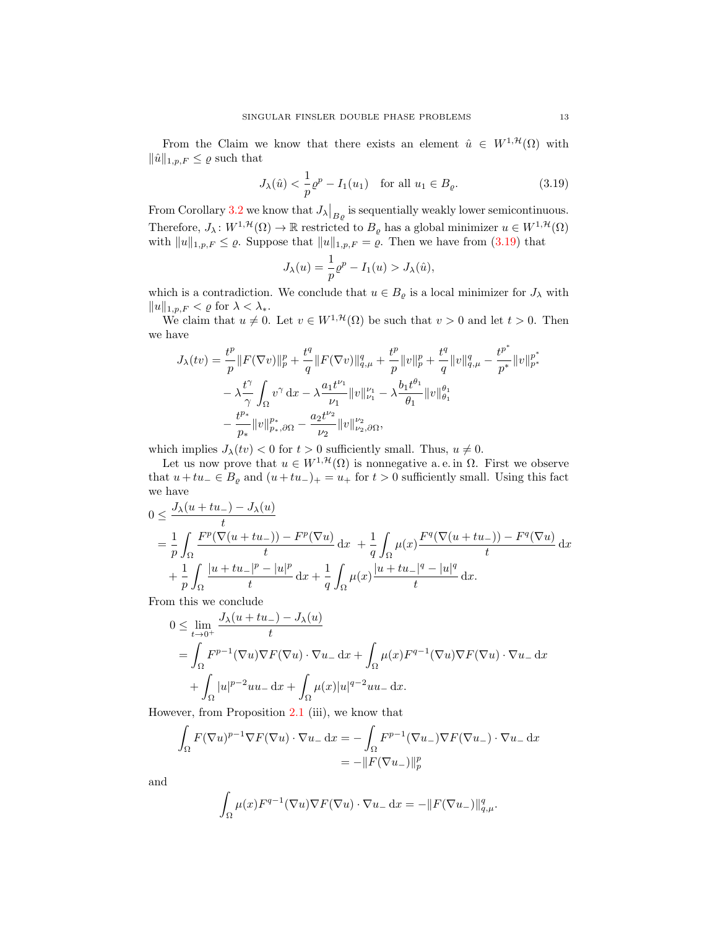From the Claim we know that there exists an element  $\hat{u} \in W^{1, \mathcal{H}}(\Omega)$  with  $\|\hat{u}\|_{1,p,F} \leq \varrho$  such that

$$
J_{\lambda}(\hat{u}) < \frac{1}{p}\varrho^{p} - I_{1}(u_{1}) \quad \text{for all } u_{1} \in B_{\varrho}.\tag{3.19}
$$

From Corollary [3.2](#page-10-0) we know that  $J_{\lambda}|_{B_{\varrho}}$  is sequentially weakly lower semicontinuous. Therefore,  $J_\lambda: W^{1,\mathcal{H}}(\Omega) \to \mathbb{R}$  restricted to  $B_\varrho$  has a global minimizer  $u \in W^{1,\mathcal{H}}(\Omega)$ with  $||u||_{1,p,F} \leq \varrho$ . Suppose that  $||u||_{1,p,F} = \varrho$ . Then we have from [\(3.19\)](#page-12-0) that

<span id="page-12-0"></span>
$$
J_{\lambda}(u) = \frac{1}{p}\varrho^{p} - I_1(u) > J_{\lambda}(\hat{u}),
$$

which is a contradiction. We conclude that  $u \in B_{\varrho}$  is a local minimizer for  $J_{\lambda}$  with  $||u||_{1,p,F} < \varrho$  for  $\lambda < \lambda_*$ .

We claim that  $u \neq 0$ . Let  $v \in W^{1, \mathcal{H}}(\Omega)$  be such that  $v > 0$  and let  $t > 0$ . Then we have

$$
\begin{split} J_{\lambda}(tv)&=\frac{t^p}{p}\|F(\nabla v)\|_p^p+\frac{t^q}{q}\|F(\nabla v)\|_{q,\mu}^q+\frac{t^p}{p}\|v\|_p^p+\frac{t^q}{q}\|v\|_{q,\mu}^q-\frac{t^{p^*}}{p^*}\|v\|_{p^*}^{p^*}\\ &-\lambda\frac{t^{\gamma}}{\gamma}\int_{\Omega}v^{\gamma}\,\mathrm{d} x-\lambda\frac{a_1t^{\nu_1}}{\nu_1}\|v\|_{\nu_1}^{\nu_1}-\lambda\frac{b_1t^{\theta_1}}{\theta_1}\|v\|_{\theta_1}^{\theta_1}\\ &-\frac{t^{p_*}}{p_*}\|v\|_{p_*,\partial\Omega}^{p_*}-\frac{a_2t^{\nu_2}}{\nu_2}\|v\|_{\nu_2,\partial\Omega}^{\nu_2}, \end{split}
$$

which implies  $J_{\lambda}(tv) < 0$  for  $t > 0$  sufficiently small. Thus,  $u \neq 0$ .

Let us now prove that  $u \in W^{1,\mathcal{H}}(\Omega)$  is nonnegative a.e. in  $\Omega$ . First we observe that  $u + tu \text{ } \in B_{\varrho}$  and  $(u + tu \text{ } )_{+} = u_{+}$  for  $t > 0$  sufficiently small. Using this fact we have

$$
0 \leq \frac{J_{\lambda}(u+tu_{-}) - J_{\lambda}(u)}{t}
$$
  
=  $\frac{1}{p} \int_{\Omega} \frac{F^{p}(\nabla(u+tu_{-})) - F^{p}(\nabla u)}{t} dx + \frac{1}{q} \int_{\Omega} \mu(x) \frac{F^{q}(\nabla(u+tu_{-})) - F^{q}(\nabla u)}{t} dx$   
+  $\frac{1}{p} \int_{\Omega} \frac{|u+tu_{-}|^{p} - |u|^{p}}{t} dx + \frac{1}{q} \int_{\Omega} \mu(x) \frac{|u+tu_{-}|^{q} - |u|^{q}}{t} dx.$ 

From this we conclude

$$
0 \le \lim_{t \to 0^+} \frac{J_\lambda(u + tu_-) - J_\lambda(u)}{t}
$$
  
= 
$$
\int_{\Omega} F^{p-1}(\nabla u) \nabla F(\nabla u) \cdot \nabla u_- \,dx + \int_{\Omega} \mu(x) F^{q-1}(\nabla u) \nabla F(\nabla u) \cdot \nabla u_- \,dx
$$
  
+ 
$$
\int_{\Omega} |u|^{p-2} u u_- \,dx + \int_{\Omega} \mu(x) |u|^{q-2} u u_- \,dx.
$$

However, from Proposition [2.1](#page-4-0) (iii), we know that

$$
\int_{\Omega} F(\nabla u)^{p-1} \nabla F(\nabla u) \cdot \nabla u_{-} \, dx = -\int_{\Omega} F^{p-1}(\nabla u_{-}) \nabla F(\nabla u_{-}) \cdot \nabla u_{-} \, dx
$$

$$
= -\|F(\nabla u_{-})\|_{p}^{p}
$$

and

$$
\int_{\Omega} \mu(x) F^{q-1}(\nabla u) \nabla F(\nabla u) \cdot \nabla u_{-} \, dx = -\|F(\nabla u_{-})\|_{q,\mu}^q.
$$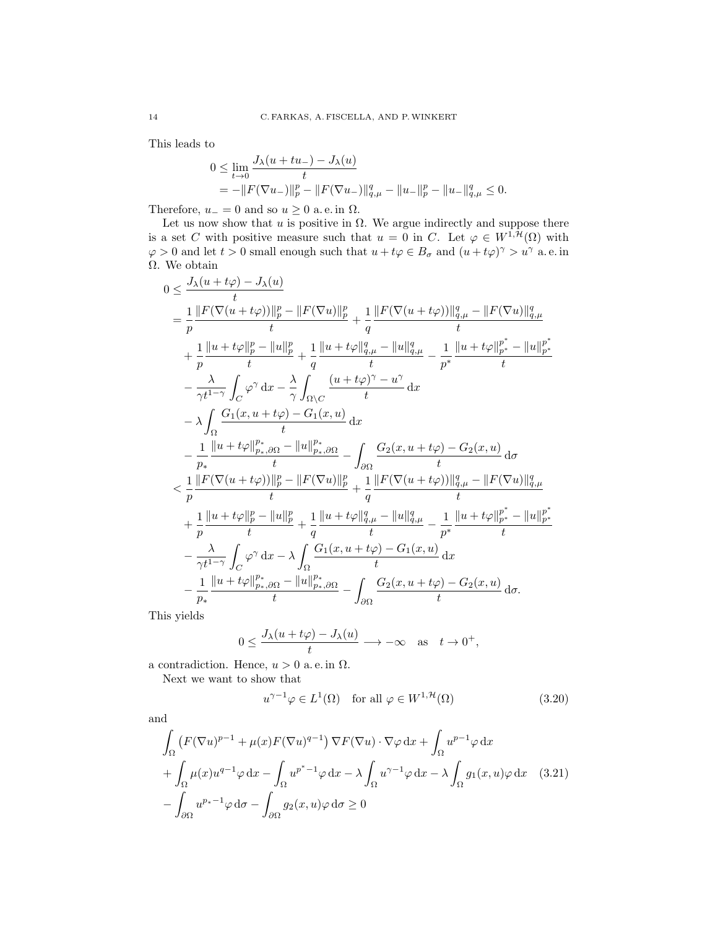This leads to

$$
0 \le \lim_{t \to 0} \frac{J_{\lambda}(u + tu_{-}) - J_{\lambda}(u)}{t}
$$
  
=  $-\|F(\nabla u_{-})\|_{p}^{p} - \|F(\nabla u_{-})\|_{q,\mu}^{q} - \|u_{-}\|_{p}^{p} - \|u_{-}\|_{q,\mu}^{q} \le 0.$ 

Therefore,  $u_-=0$  and so  $u\geq 0$  a.e. in  $\Omega$ .

Let us now show that  $u$  is positive in  $\Omega$ . We argue indirectly and suppose there is a set C with positive measure such that  $u = 0$  in C. Let  $\varphi \in W^{1,\mathcal{H}}(\Omega)$  with  $\varphi > 0$  and let  $t > 0$  small enough such that  $u + t\varphi \in B_{\sigma}$  and  $(u + t\varphi)^{\gamma} > u^{\gamma}$  a.e. in Ω. We obtain

$$
0 \leq \frac{J_{\lambda}(u+t\varphi)-J_{\lambda}(u)}{t} \\ = \frac{1}{p} \frac{\|F(\nabla (u+t\varphi))\|_{p}^{p} - \|F(\nabla u)\|_{p}^{p}}{t} + \frac{1}{q} \frac{\|F(\nabla (u+t\varphi))\|_{q,\mu}^{q} - \|F(\nabla u)\|_{q,\mu}^{q}}{t} \\ + \frac{1}{p} \frac{\|u+t\varphi\|_{p}^{p} - \|u\|_{p}^{p}}{t} + \frac{1}{q} \frac{\|u+t\varphi\|_{q,\mu}^{q} - \|u\|_{q,\mu}^{q}}{t} - \frac{1}{p^{*}} \frac{\|u+t\varphi\|_{p^{*}}^{p^{*}} - \|u\|_{p^{*}}^{p}}{t} \\ - \frac{\lambda}{\gamma t^{1-\gamma}} \int_{C} \varphi^{\gamma} dx - \frac{\lambda}{\gamma} \int_{\Omega \backslash C} \frac{(u+t\varphi)^{\gamma} - u^{\gamma}}{t} dx \\ - \lambda \int_{\Omega} \frac{G_{1}(x, u+t\varphi) - G_{1}(x, u)}{t} dx \\ - \frac{1}{p_{*}} \frac{\|u+t\varphi\|_{p_{*},\partial\Omega}^{p_{*}} - \|u\|_{p_{*},\partial\Omega}^{p_{*}}}{t} - \int_{\partial\Omega} \frac{G_{2}(x, u+t\varphi) - G_{2}(x, u)}{t} d\sigma \\ < \frac{1}{p} \frac{\|F(\nabla (u+t\varphi))\|_{p}^{p} - \|F(\nabla u)\|_{p}^{p}}{t} + \frac{1}{q} \frac{\|F(\nabla (u+t\varphi))\|_{q,\mu}^{q} - \|F(\nabla u)\|_{q,\mu}^{q}}{t} \\ + \frac{1}{p} \frac{\|u+t\varphi\|_{p}^{p} - \|u\|_{p}^{p}}{t} + \frac{1}{q} \frac{\|u+t\varphi\|_{q,\mu}^{q} - \|u\|_{q,\mu}^{q}}{t} - \frac{1}{p^{*}} \frac{\|u+t\varphi\|_{p^{*}}^{p^{*}} - \|u\|_{p^{*}}^{p}}{t} \\ - \frac{\lambda}{\gamma t^{1-\gamma}} \int_{C} \varphi^{\gamma} dx - \lambda \int_{\Omega} \frac{G_{1}(x, u+t\varphi
$$

This yields

$$
0 \le \frac{J_{\lambda}(u+t\varphi) - J_{\lambda}(u)}{t} \longrightarrow -\infty \quad \text{as} \quad t \to 0^+,
$$

a contradiction. Hence,  $u > 0$  a.e. in  $\Omega$ .

Next we want to show that

<span id="page-13-1"></span><span id="page-13-0"></span>
$$
u^{\gamma - 1} \varphi \in L^1(\Omega) \quad \text{for all } \varphi \in W^{1, \mathcal{H}}(\Omega)
$$
 (3.20)

and

$$
\int_{\Omega} \left( F(\nabla u)^{p-1} + \mu(x) F(\nabla u)^{q-1} \right) \nabla F(\nabla u) \cdot \nabla \varphi \, dx + \int_{\Omega} u^{p-1} \varphi \, dx \n+ \int_{\Omega} \mu(x) u^{q-1} \varphi \, dx - \int_{\Omega} u^{p^* - 1} \varphi \, dx - \lambda \int_{\Omega} u^{\gamma - 1} \varphi \, dx - \lambda \int_{\Omega} g_1(x, u) \varphi \, dx \quad (3.21)
$$
\n
$$
- \int_{\partial \Omega} u^{p^* - 1} \varphi \, d\sigma - \int_{\partial \Omega} g_2(x, u) \varphi \, d\sigma \ge 0
$$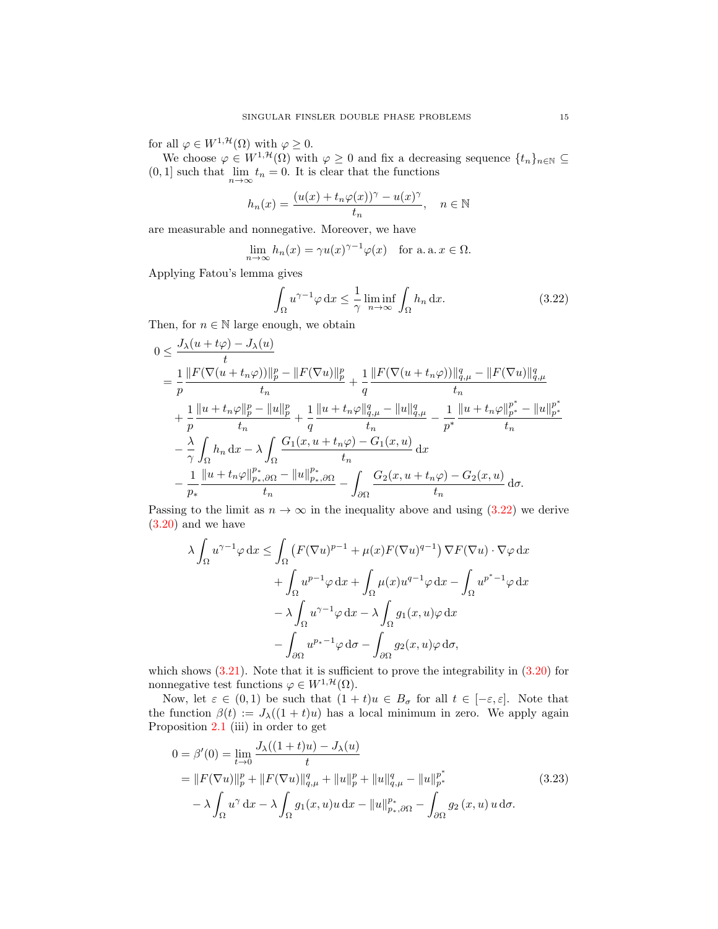for all  $\varphi \in W^{1, \mathcal{H}}(\Omega)$  with  $\varphi \geq 0$ .

We choose  $\varphi \in W^{1,\mathcal{H}}(\Omega)$  with  $\varphi \geq 0$  and fix a decreasing sequence  $\{t_n\}_{n\in\mathbb{N}} \subseteq$  $(0, 1]$  such that  $\lim_{n \to \infty} t_n = 0$ . It is clear that the functions

$$
h_n(x) = \frac{(u(x) + t_n \varphi(x))^{\gamma} - u(x)^{\gamma}}{t_n}, \quad n \in \mathbb{N}
$$

are measurable and nonnegative. Moreover, we have

$$
\lim_{n \to \infty} h_n(x) = \gamma u(x)^{\gamma - 1} \varphi(x) \quad \text{for a. a. } x \in \Omega.
$$

Applying Fatou's lemma gives

<span id="page-14-0"></span>
$$
\int_{\Omega} u^{\gamma - 1} \varphi \, dx \le \frac{1}{\gamma} \liminf_{n \to \infty} \int_{\Omega} h_n \, dx. \tag{3.22}
$$

Then, for  $n \in \mathbb{N}$  large enough, we obtain

$$
0 \leq \frac{J_{\lambda}(u+t\varphi)-J_{\lambda}(u)}{t} \n= \frac{1}{p} \frac{\|F(\nabla (u+t_{n}\varphi))\|_{p}^{p}-\|F(\nabla u)\|_{p}^{p}}{t_{n}}+\frac{1}{q} \frac{\|F(\nabla (u+t_{n}\varphi))\|_{q,\mu}^{q}-\|F(\nabla u)\|_{q,\mu}^{q}}{t_{n}} +\frac{1}{p} \frac{\|u+t_{n}\varphi\|_{p}^{p}-\|u\|_{p}^{p}}{t_{n}}+\frac{1}{q} \frac{\|u+t_{n}\varphi\|_{q,\mu}^{q}-\|u\|_{q,\mu}^{q}}{t_{n}}-\frac{1}{p^{*}} \frac{\|u+t_{n}\varphi\|_{p^{*}}^{p^{*}}-\|u\|_{p^{*}}^{p^{*}}}{t_{n}} \\-\frac{\lambda}{\gamma} \int_{\Omega} h_{n} dx - \lambda \int_{\Omega} \frac{G_{1}(x, u+t_{n}\varphi)-G_{1}(x, u)}{t_{n}} dx \\-\frac{1}{p_{*}} \frac{\|u+t_{n}\varphi\|_{p_{*},\partial\Omega}^{p_{*}}-\|u\|_{p_{*},\partial\Omega}^{p_{*}}}{t_{n}}-\int_{\partial\Omega} \frac{G_{2}(x, u+t_{n}\varphi)-G_{2}(x, u)}{t_{n}} d\sigma.
$$

Passing to the limit as  $n \to \infty$  in the inequality above and using [\(3.22\)](#page-14-0) we derive [\(3.20\)](#page-13-0) and we have

$$
\lambda \int_{\Omega} u^{\gamma - 1} \varphi \, dx \le \int_{\Omega} \left( F(\nabla u)^{p - 1} + \mu(x) F(\nabla u)^{q - 1} \right) \nabla F(\nabla u) \cdot \nabla \varphi \, dx
$$

$$
+ \int_{\Omega} u^{p - 1} \varphi \, dx + \int_{\Omega} \mu(x) u^{q - 1} \varphi \, dx - \int_{\Omega} u^{p^* - 1} \varphi \, dx
$$

$$
- \lambda \int_{\Omega} u^{\gamma - 1} \varphi \, dx - \lambda \int_{\Omega} g_1(x, u) \varphi \, dx
$$

$$
- \int_{\partial \Omega} u^{p_* - 1} \varphi \, d\sigma - \int_{\partial \Omega} g_2(x, u) \varphi \, d\sigma,
$$

which shows  $(3.21)$ . Note that it is sufficient to prove the integrability in  $(3.20)$  for nonnegative test functions  $\varphi \in W^{1,\mathcal{H}}(\Omega)$ .

Now, let  $\varepsilon \in (0,1)$  be such that  $(1 + t)u \in B_{\sigma}$  for all  $t \in [-\varepsilon, \varepsilon]$ . Note that the function  $\beta(t) := J_{\lambda}((1+t)u)$  has a local minimum in zero. We apply again Proposition [2.1](#page-4-0) (iii) in order to get

<span id="page-14-1"></span>
$$
0 = \beta'(0) = \lim_{t \to 0} \frac{J_{\lambda}((1+t)u) - J_{\lambda}(u)}{t}
$$
  
=  $||F(\nabla u)||_p^p + ||F(\nabla u)||_{q,\mu}^q + ||u||_p^p + ||u||_{q,\mu}^q - ||u||_{p^*}^{p^*}$   
 $- \lambda \int_{\Omega} u^{\gamma} dx - \lambda \int_{\Omega} g_1(x, u)u dx - ||u||_{p^*,\partial\Omega}^{p_*} - \int_{\partial\Omega} g_2(x, u)u d\sigma.$  (3.23)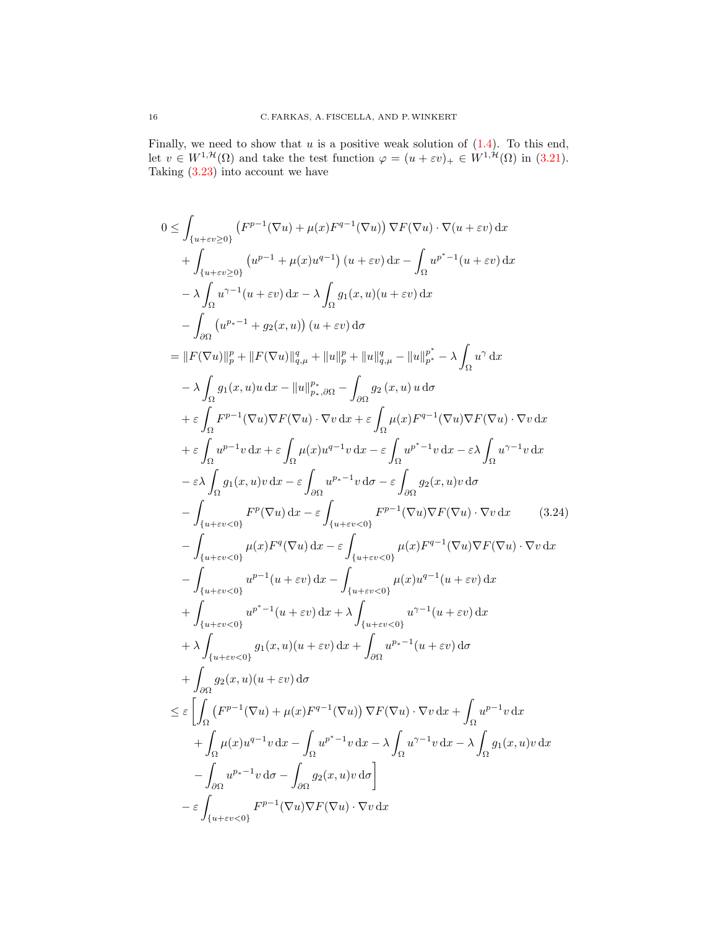Finally, we need to show that u is a positive weak solution of  $(1.4)$ . To this end, let  $v \in W^{1,\mathcal{H}}(\Omega)$  and take the test function  $\varphi = (u + \varepsilon v)_+ \in W^{1,\mathcal{H}}(\Omega)$  in [\(3.21\)](#page-13-1). Taking  $(3.23)$  into account we have

<span id="page-15-0"></span>
$$
0 \leq \int_{\{u+vv\geq 0\}} (F^{p-1}(\nabla u) + \mu(x)F^{q-1}(\nabla u)) \nabla F(\nabla u) \cdot \nabla (u + \varepsilon v) dx
$$
  
+ 
$$
\int_{\{u+vv\geq 0\}} (u^{p-1} + \mu(x)u^{q-1}) (u + \varepsilon v) dx - \int_{\Omega} u^{p^*-1} (u + \varepsilon v) dx
$$
  
- 
$$
\lambda \int_{\Omega} u^{\gamma-1} (u + \varepsilon v) dx - \lambda \int_{\Omega} g_1(x, u)(u + \varepsilon v) dx
$$
  
- 
$$
\int_{\partial \Omega} (u^{p_*-1} + g_2(x, u)) (u + \varepsilon v) d\sigma
$$
  
= 
$$
||F(\nabla u)||_p^p + ||F(\nabla u)||_{q,\mu}^p + ||u||_{q,\mu}^q - ||u||_{p^*}^{p^*} - \lambda \int_{\Omega} u^{\gamma} dx
$$
  
- 
$$
\lambda \int_{\Omega} g_1(x, u)u dx - ||u||_{p_*,\partial \Omega}^{p_2} - \int_{\partial \Omega} g_2(x, u)u d\sigma
$$
  
+ 
$$
\varepsilon \int_{\Omega} F^{p-1}(\nabla u) \nabla F(\nabla u) \cdot \nabla v dx + \varepsilon \int_{\Omega} \mu(x) F^{q-1}(\nabla u) \nabla F(\nabla u) \cdot \nabla v dx
$$
  
+ 
$$
\varepsilon \int_{\Omega} u^{p-1} v dx + \varepsilon \int_{\Omega} u(x) u^{q-1} v dx - \varepsilon \int_{\Omega} u^{p^*-1} v dx - \varepsilon \lambda \int_{\Omega} u^{\gamma-1} v dx
$$
  
- 
$$
\varepsilon \lambda \int_{\Omega} g_1(x, u) v dx - \varepsilon \int_{\partial \Omega} u^{p_*-1} v d\sigma - \varepsilon \int_{\partial \Omega} g_2(x, u) v d\sigma
$$
  
- 
$$
\int_{\{u + \varepsilon v < 0\}} F^{p}(\nabla u) dx - \varepsilon \int_{\Omega} u^{p_*-1} v d\sigma - \varepsilon \int_{\partial \Omega} g_2(x, u) v d\sigma
$$
  
-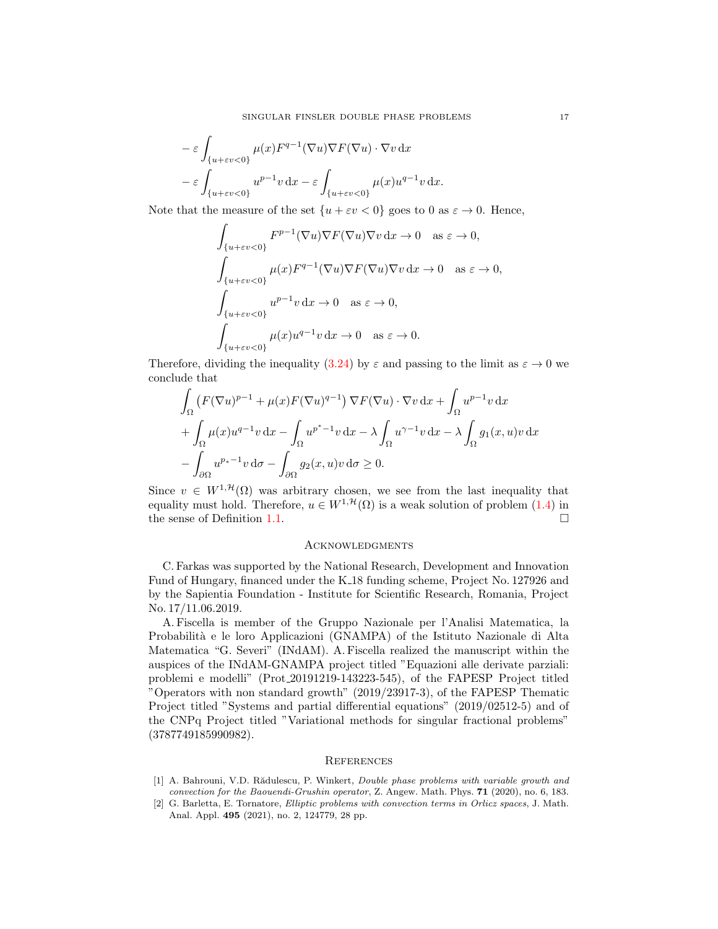$$
-\varepsilon \int_{\{u+\varepsilon v < 0\}} \mu(x) F^{q-1}(\nabla u) \nabla F(\nabla u) \cdot \nabla v \, dx
$$

$$
-\varepsilon \int_{\{u+\varepsilon v < 0\}} u^{p-1} v \, dx - \varepsilon \int_{\{u+\varepsilon v < 0\}} \mu(x) u^{q-1} v \, dx.
$$

Note that the measure of the set  $\{u + \varepsilon v < 0\}$  goes to 0 as  $\varepsilon \to 0$ . Hence,

$$
\int_{\{u+\varepsilon v<0\}} F^{p-1}(\nabla u) \nabla F(\nabla u) \nabla v \,dx \to 0 \quad \text{as } \varepsilon \to 0,
$$
  

$$
\int_{\{u+\varepsilon v<0\}} \mu(x) F^{q-1}(\nabla u) \nabla F(\nabla u) \nabla v \,dx \to 0 \quad \text{as } \varepsilon \to 0,
$$
  

$$
\int_{\{u+\varepsilon v<0\}} u^{p-1} v \,dx \to 0 \quad \text{as } \varepsilon \to 0,
$$
  

$$
\int_{\{u+\varepsilon v<0\}} \mu(x) u^{q-1} v \,dx \to 0 \quad \text{as } \varepsilon \to 0.
$$

Therefore, dividing the inequality [\(3.24\)](#page-15-0) by  $\varepsilon$  and passing to the limit as  $\varepsilon \to 0$  we conclude that

$$
\int_{\Omega} \left( F(\nabla u)^{p-1} + \mu(x) F(\nabla u)^{q-1} \right) \nabla F(\nabla u) \cdot \nabla v \, dx + \int_{\Omega} u^{p-1} v \, dx \n+ \int_{\Omega} \mu(x) u^{q-1} v \, dx - \int_{\Omega} u^{p^* - 1} v \, dx - \lambda \int_{\Omega} u^{\gamma - 1} v \, dx - \lambda \int_{\Omega} g_1(x, u) v \, dx \n- \int_{\partial \Omega} u^{p^* - 1} v \, d\sigma - \int_{\partial \Omega} g_2(x, u) v \, d\sigma \ge 0.
$$

Since  $v \in W^{1, \mathcal{H}}(\Omega)$  was arbitrary chosen, we see from the last inequality that equality must hold. Therefore,  $u \in W^{1,\mathcal{H}}(\Omega)$  is a weak solution of problem [\(1.4\)](#page-1-2) in the sense of Definition [1.1.](#page-2-2)

### **ACKNOWLEDGMENTS**

C. Farkas was supported by the National Research, Development and Innovation Fund of Hungary, financed under the K 18 funding scheme, Project No. 127926 and by the Sapientia Foundation - Institute for Scientific Research, Romania, Project No. 17/11.06.2019.

A. Fiscella is member of the Gruppo Nazionale per l'Analisi Matematica, la Probabilità e le loro Applicazioni (GNAMPA) of the Istituto Nazionale di Alta Matematica "G. Severi" (INdAM). A. Fiscella realized the manuscript within the auspices of the INdAM-GNAMPA project titled "Equazioni alle derivate parziali: problemi e modelli" (Prot 20191219-143223-545), of the FAPESP Project titled "Operators with non standard growth" (2019/23917-3), of the FAPESP Thematic Project titled "Systems and partial differential equations" (2019/02512-5) and of the CNPq Project titled "Variational methods for singular fractional problems" (3787749185990982).

#### **REFERENCES**

- <span id="page-16-0"></span>[1] A. Bahrouni, V.D. Rădulescu, P. Winkert, *Double phase problems with variable growth and* convection for the Baouendi-Grushin operator, Z. Angew. Math. Phys. 71 (2020), no. 6, 183.
- <span id="page-16-1"></span>[2] G. Barletta, E. Tornatore, Elliptic problems with convection terms in Orlicz spaces, J. Math. Anal. Appl. 495 (2021), no. 2, 124779, 28 pp.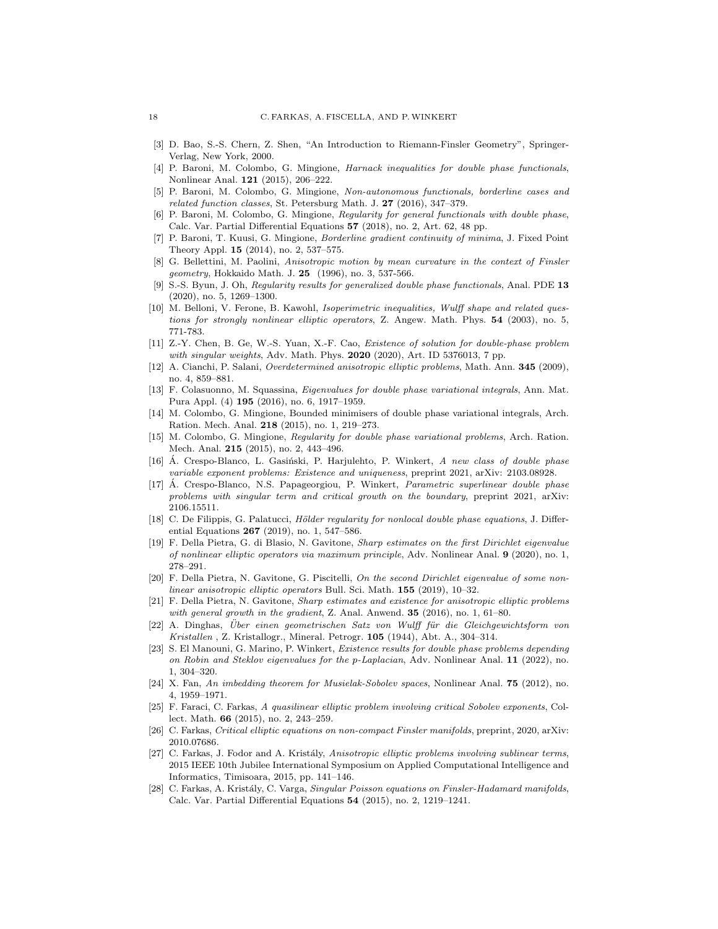- <span id="page-17-25"></span>[3] D. Bao, S.-S. Chern, Z. Shen, "An Introduction to Riemann-Finsler Geometry", Springer-Verlag, New York, 2000.
- <span id="page-17-0"></span>[4] P. Baroni, M. Colombo, G. Mingione, Harnack inequalities for double phase functionals, Nonlinear Anal. **121** (2015), 206-222.
- <span id="page-17-1"></span>[5] P. Baroni, M. Colombo, G. Mingione, Non-autonomous functionals, borderline cases and related function classes, St. Petersburg Math. J. 27 (2016), 347–379.
- <span id="page-17-2"></span>[6] P. Baroni, M. Colombo, G. Mingione, Regularity for general functionals with double phase, Calc. Var. Partial Differential Equations 57 (2018), no. 2, Art. 62, 48 pp.
- <span id="page-17-3"></span>[7] P. Baroni, T. Kuusi, G. Mingione, Borderline gradient continuity of minima, J. Fixed Point Theory Appl. 15 (2014), no. 2, 537–575.
- <span id="page-17-11"></span>[8] G. Bellettini, M. Paolini, Anisotropic motion by mean curvature in the context of Finsler geometry, Hokkaido Math. J. 25 (1996), no. 3, 537-566.
- <span id="page-17-4"></span>[9] S.-S. Byun, J. Oh, Regularity results for generalized double phase functionals, Anal. PDE 13 (2020), no. 5, 1269–1300.
- <span id="page-17-12"></span>[10] M. Belloni, V. Ferone, B. Kawohl, Isoperimetric inequalities, Wulff shape and related questions for strongly nonlinear elliptic operators, Z. Angew. Math. Phys. 54 (2003), no. 5, 771-783.
- <span id="page-17-21"></span>[11] Z.-Y. Chen, B. Ge, W.-S. Yuan, X.-F. Cao, Existence of solution for double-phase problem with singular weights, Adv. Math. Phys. **2020** (2020), Art. ID 5376013, 7 pp.
- <span id="page-17-9"></span>[12] A. Cianchi, P. Salani, Overdetermined anisotropic elliptic problems, Math. Ann. 345 (2009), no. 4, 859–881.
- <span id="page-17-22"></span>[13] F. Colasuonno, M. Squassina, Eigenvalues for double phase variational integrals, Ann. Mat. Pura Appl. (4) 195 (2016), no. 6, 1917–1959.
- <span id="page-17-5"></span>[14] M. Colombo, G. Mingione, Bounded minimisers of double phase variational integrals, Arch. Ration. Mech. Anal. 218 (2015), no. 1, 219–273.
- <span id="page-17-6"></span>[15] M. Colombo, G. Mingione, Regularity for double phase variational problems, Arch. Ration. Mech. Anal. 215 (2015), no. 2, 443–496.
- <span id="page-17-19"></span>[16]  $\AA$ . Crespo-Blanco, L. Gasinski, P. Harjulehto, P. Winkert, A new class of double phase variable exponent problems: Existence and uniqueness, preprint 2021, arXiv: 2103.08928.
- <span id="page-17-20"></span>[17] Á. Crespo-Blanco, N.S. Papageorgiou, P. Winkert, Parametric superlinear double phase problems with singular term and critical growth on the boundary, preprint 2021, arXiv: 2106.15511.
- <span id="page-17-7"></span>[18] C. De Filippis, G. Palatucci, *Hölder regularity for nonlocal double phase equations*, J. Differential Equations 267 (2019), no. 1, 547–586.
- <span id="page-17-14"></span>[19] F. Della Pietra, G. di Blasio, N. Gavitone, Sharp estimates on the first Dirichlet eigenvalue of nonlinear elliptic operators via maximum principle, Adv. Nonlinear Anal. 9 (2020), no. 1, 278–291.
- <span id="page-17-15"></span>[20] F. Della Pietra, N. Gavitone, G. Piscitelli, On the second Dirichlet eigenvalue of some nonlinear anisotropic elliptic operators Bull. Sci. Math. 155 (2019), 10–32.
- <span id="page-17-13"></span>[21] F. Della Pietra, N. Gavitone, Sharp estimates and existence for anisotropic elliptic problems with general growth in the gradient, Z. Anal. Anwend.  $35$  (2016), no. 1, 61–80.
- <span id="page-17-8"></span>[22] A. Dinghas, Über einen geometrischen Satz von Wulff für die Gleichgewichtsform von Kristallen , Z. Kristallogr., Mineral. Petrogr. 105 (1944), Abt. A., 304–314.
- <span id="page-17-23"></span>[23] S. El Manouni, G. Marino, P. Winkert, Existence results for double phase problems depending on Robin and Steklov eigenvalues for the p-Laplacian, Adv. Nonlinear Anal. 11 (2022), no. 1, 304–320.
- <span id="page-17-18"></span>[24] X. Fan, An imbedding theorem for Musielak-Sobolev spaces, Nonlinear Anal. 75 (2012), no. 4, 1959–1971.
- <span id="page-17-24"></span>[25] F. Faraci, C. Farkas, A quasilinear elliptic problem involving critical Sobolev exponents, Collect. Math. 66 (2015), no. 2, 243–259.
- <span id="page-17-16"></span>[26] C. Farkas, Critical elliptic equations on non-compact Finsler manifolds, preprint, 2020, arXiv: 2010.07686.
- <span id="page-17-10"></span>[27] C. Farkas, J. Fodor and A. Kristály, Anisotropic elliptic problems involving sublinear terms, 2015 IEEE 10th Jubilee International Symposium on Applied Computational Intelligence and Informatics, Timisoara, 2015, pp. 141–146.
- <span id="page-17-17"></span>[28] C. Farkas, A. Kristály, C. Varga, Singular Poisson equations on Finsler-Hadamard manifolds, Calc. Var. Partial Differential Equations 54 (2015), no. 2, 1219–1241.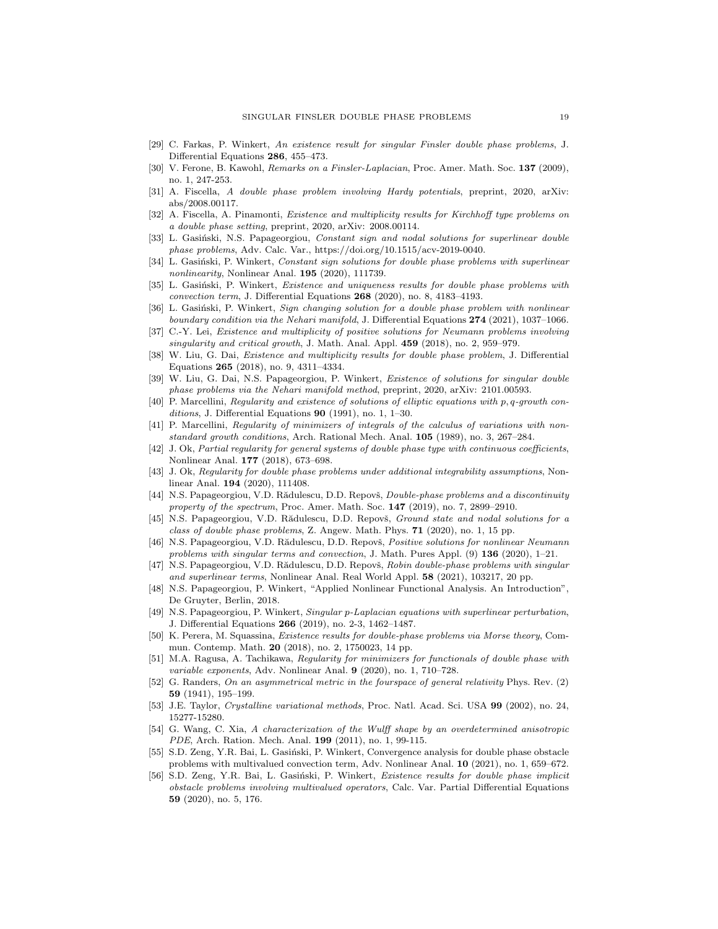- <span id="page-18-9"></span>[29] C. Farkas, P. Winkert, An existence result for singular Finsler double phase problems, J. Differential Equations 286, 455–473.
- <span id="page-18-7"></span>[30] V. Ferone, B. Kawohl, Remarks on a Finsler-Laplacian, Proc. Amer. Math. Soc. 137 (2009), no. 1, 247-253.
- <span id="page-18-13"></span>[31] A. Fiscella, A double phase problem involving Hardy potentials, preprint, 2020, arXiv: abs/2008.00117.
- <span id="page-18-14"></span>[32] A. Fiscella, A. Pinamonti, Existence and multiplicity results for Kirchhoff type problems on a double phase setting, preprint, 2020, arXiv: 2008.00114.
- <span id="page-18-15"></span>[33] L. Gasiński, N.S. Papageorgiou, Constant sign and nodal solutions for superlinear double phase problems, Adv. Calc. Var., https://doi.org/10.1515/acv-2019-0040.
- <span id="page-18-16"></span>[34] L. Gasiński, P. Winkert, Constant sign solutions for double phase problems with superlinear nonlinearity, Nonlinear Anal. 195 (2020), 111739.
- <span id="page-18-17"></span>[35] L. Gasiński, P. Winkert, Existence and uniqueness results for double phase problems with convection term, J. Differential Equations 268 (2020), no. 8, 4183–4193.
- <span id="page-18-18"></span>[36] L. Gasiński, P. Winkert, Sign changing solution for a double phase problem with nonlinear boundary condition via the Nehari manifold, J. Differential Equations 274 (2021), 1037–1066.
- <span id="page-18-12"></span>[37] C.-Y. Lei, Existence and multiplicity of positive solutions for Neumann problems involving singularity and critical growth, J. Math. Anal. Appl. 459 (2018), no. 2, 959–979.
- <span id="page-18-19"></span>[38] W. Liu, G. Dai, Existence and multiplicity results for double phase problem, J. Differential Equations 265 (2018), no. 9, 4311–4334.
- <span id="page-18-8"></span>[39] W. Liu, G. Dai, N.S. Papageorgiou, P. Winkert, Existence of solutions for singular double phase problems via the Nehari manifold method, preprint, 2020, arXiv: 2101.00593.
- <span id="page-18-0"></span>[40] P. Marcellini, Regularity and existence of solutions of elliptic equations with p, q-growth conditions, J. Differential Equations  $90$  (1991), no. 1, 1–30.
- <span id="page-18-1"></span>[41] P. Marcellini, Regularity of minimizers of integrals of the calculus of variations with nonstandard growth conditions, Arch. Rational Mech. Anal. 105 (1989), no. 3, 267–284.
- <span id="page-18-2"></span>[42] J. Ok, Partial regularity for general systems of double phase type with continuous coefficients, Nonlinear Anal. 177 (2018), 673–698.
- <span id="page-18-3"></span>[43] J. Ok, Regularity for double phase problems under additional integrability assumptions, Nonlinear Anal. 194 (2020), 111408.
- <span id="page-18-23"></span>[44] N.S. Papageorgiou, V.D. Rădulescu, D.D. Repovš, *Double-phase problems and a discontinuity* property of the spectrum, Proc. Amer. Math. Soc.  $147$  (2019), no. 7, 2899–2910.
- <span id="page-18-20"></span>[45] N.S. Papageorgiou, V.D. Rădulescu, D.D. Repovš, *Ground state and nodal solutions for a* class of double phase problems, Z. Angew. Math. Phys. 71 (2020), no. 1, 15 pp.
- <span id="page-18-10"></span>[46] N.S. Papageorgiou, V.D. Rădulescu, D.D. Repovš, Positive solutions for nonlinear Neumann problems with singular terms and convection, J. Math. Pures Appl. (9) 136 (2020), 1-21.
- <span id="page-18-11"></span>[47] N.S. Papageorgiou, V.D. Rădulescu, D.D. Repovš, Robin double-phase problems with singular and superlinear terms, Nonlinear Anal. Real World Appl. 58 (2021), 103217, 20 pp.
- <span id="page-18-27"></span>[48] N.S. Papageorgiou, P. Winkert, "Applied Nonlinear Functional Analysis. An Introduction", De Gruyter, Berlin, 2018.
- <span id="page-18-24"></span>[49] N.S. Papageorgiou, P. Winkert, Singular p-Laplacian equations with superlinear perturbation, J. Differential Equations 266 (2019), no. 2-3, 1462–1487.
- <span id="page-18-21"></span>[50] K. Perera, M. Squassina, Existence results for double-phase problems via Morse theory, Commun. Contemp. Math. 20 (2018), no. 2, 1750023, 14 pp.
- <span id="page-18-4"></span>[51] M.A. Ragusa, A. Tachikawa, Regularity for minimizers for functionals of double phase with variable exponents, Adv. Nonlinear Anal. 9 (2020), no. 1, 710–728.
- <span id="page-18-26"></span>[52] G. Randers, On an asymmetrical metric in the fourspace of general relativity Phys. Rev. (2) 59 (1941), 195–199.
- <span id="page-18-5"></span>[53] J.E. Taylor, Crystalline variational methods, Proc. Natl. Acad. Sci. USA 99 (2002), no. 24, 15277-15280.
- <span id="page-18-6"></span>[54] G. Wang, C. Xia, A characterization of the Wulff shape by an overdetermined anisotropic PDE, Arch. Ration. Mech. Anal. 199 (2011), no. 1, 99-115.
- <span id="page-18-25"></span>[55] S.D. Zeng, Y.R. Bai, L. Gasiński, P. Winkert, Convergence analysis for double phase obstacle problems with multivalued convection term, Adv. Nonlinear Anal. 10 (2021), no. 1, 659–672.
- <span id="page-18-22"></span>[56] S.D. Zeng, Y.R. Bai, L. Gasiński, P. Winkert, Existence results for double phase implicit obstacle problems involving multivalued operators, Calc. Var. Partial Differential Equations 59 (2020), no. 5, 176.